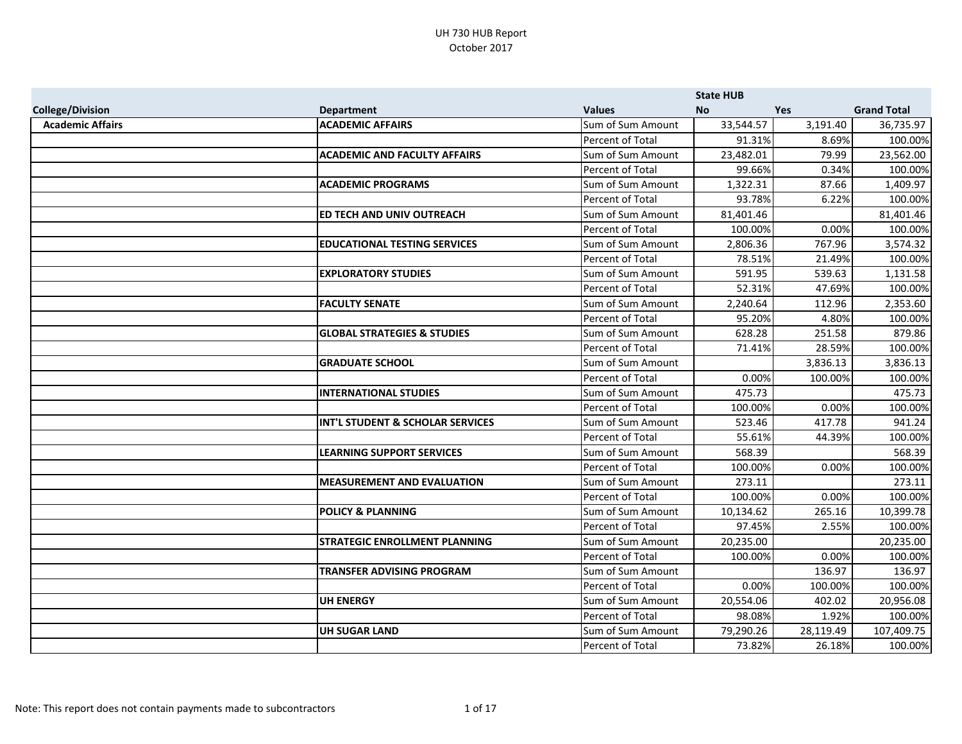|                         |                                        |                   | <b>State HUB</b> |            |                    |
|-------------------------|----------------------------------------|-------------------|------------------|------------|--------------------|
| <b>College/Division</b> | <b>Department</b>                      | <b>Values</b>     | <b>No</b>        | <b>Yes</b> | <b>Grand Total</b> |
| <b>Academic Affairs</b> | <b>ACADEMIC AFFAIRS</b>                | Sum of Sum Amount | 33,544.57        | 3,191.40   | 36,735.97          |
|                         |                                        | Percent of Total  | 91.31%           | 8.69%      | 100.00%            |
|                         | <b>ACADEMIC AND FACULTY AFFAIRS</b>    | Sum of Sum Amount | 23,482.01        | 79.99      | 23,562.00          |
|                         |                                        | Percent of Total  | 99.66%           | 0.34%      | 100.00%            |
|                         | <b>ACADEMIC PROGRAMS</b>               | Sum of Sum Amount | 1,322.31         | 87.66      | 1,409.97           |
|                         |                                        | Percent of Total  | 93.78%           | 6.22%      | 100.00%            |
|                         | ED TECH AND UNIV OUTREACH              | Sum of Sum Amount | 81,401.46        |            | 81,401.46          |
|                         |                                        | Percent of Total  | 100.00%          | 0.00%      | 100.00%            |
|                         | <b>EDUCATIONAL TESTING SERVICES</b>    | Sum of Sum Amount | 2,806.36         | 767.96     | 3,574.32           |
|                         |                                        | Percent of Total  | 78.51%           | 21.49%     | 100.00%            |
|                         | <b>EXPLORATORY STUDIES</b>             | Sum of Sum Amount | 591.95           | 539.63     | 1,131.58           |
|                         |                                        | Percent of Total  | 52.31%           | 47.69%     | 100.00%            |
|                         | <b>FACULTY SENATE</b>                  | Sum of Sum Amount | 2,240.64         | 112.96     | 2,353.60           |
|                         |                                        | Percent of Total  | 95.20%           | 4.80%      | 100.00%            |
|                         | <b>GLOBAL STRATEGIES &amp; STUDIES</b> | Sum of Sum Amount | 628.28           | 251.58     | 879.86             |
|                         |                                        | Percent of Total  | 71.41%           | 28.59%     | 100.00%            |
|                         | <b>GRADUATE SCHOOL</b>                 | Sum of Sum Amount |                  | 3,836.13   | 3,836.13           |
|                         |                                        | Percent of Total  | 0.00%            | 100.00%    | 100.00%            |
|                         | <b>INTERNATIONAL STUDIES</b>           | Sum of Sum Amount | 475.73           |            | 475.73             |
|                         |                                        | Percent of Total  | 100.00%          | 0.00%      | 100.00%            |
|                         | INT'L STUDENT & SCHOLAR SERVICES       | Sum of Sum Amount | 523.46           | 417.78     | 941.24             |
|                         |                                        | Percent of Total  | 55.61%           | 44.39%     | 100.00%            |
|                         | <b>LEARNING SUPPORT SERVICES</b>       | Sum of Sum Amount | 568.39           |            | 568.39             |
|                         |                                        | Percent of Total  | 100.00%          | 0.00%      | 100.00%            |
|                         | <b>MEASUREMENT AND EVALUATION</b>      | Sum of Sum Amount | 273.11           |            | 273.11             |
|                         |                                        | Percent of Total  | 100.00%          | 0.00%      | 100.00%            |
|                         | <b>POLICY &amp; PLANNING</b>           | Sum of Sum Amount | 10,134.62        | 265.16     | 10,399.78          |
|                         |                                        | Percent of Total  | 97.45%           | 2.55%      | 100.00%            |
|                         | <b>STRATEGIC ENROLLMENT PLANNING</b>   | Sum of Sum Amount | 20,235.00        |            | 20,235.00          |
|                         |                                        | Percent of Total  | 100.00%          | 0.00%      | 100.00%            |
|                         | <b>TRANSFER ADVISING PROGRAM</b>       | Sum of Sum Amount |                  | 136.97     | 136.97             |
|                         |                                        | Percent of Total  | 0.00%            | 100.00%    | 100.00%            |
|                         | <b>UH ENERGY</b>                       | Sum of Sum Amount | 20,554.06        | 402.02     | 20,956.08          |
|                         |                                        | Percent of Total  | 98.08%           | 1.92%      | 100.00%            |
|                         | <b>UH SUGAR LAND</b>                   | Sum of Sum Amount | 79,290.26        | 28,119.49  | 107,409.75         |
|                         |                                        | Percent of Total  | 73.82%           | 26.18%     | 100.00%            |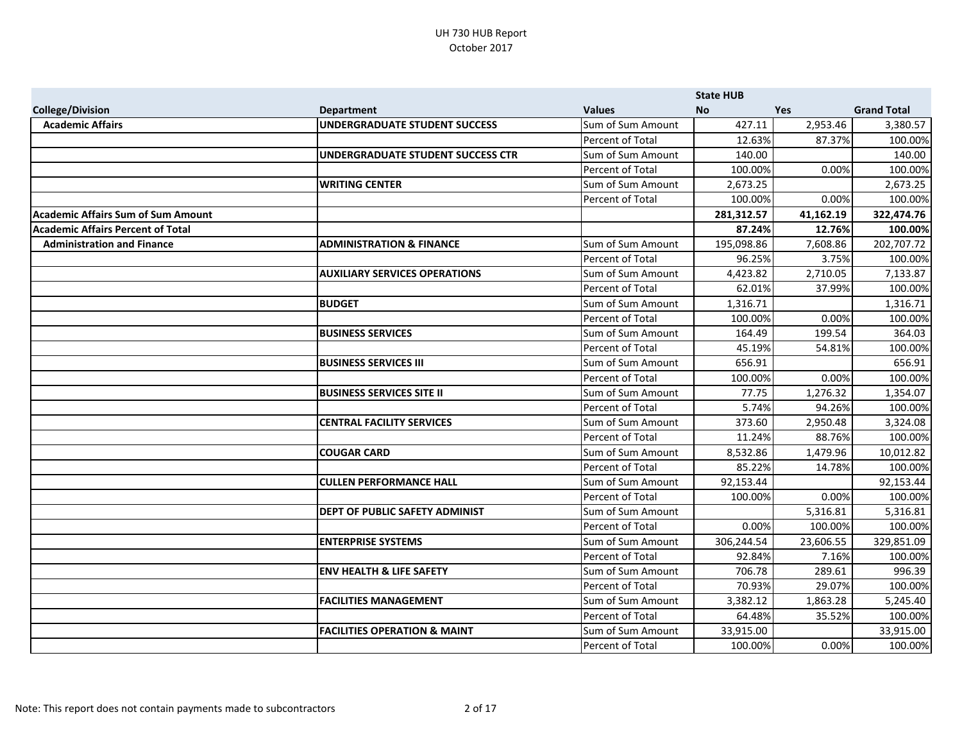|                                           |                                         |                   | <b>State HUB</b> |           |                    |
|-------------------------------------------|-----------------------------------------|-------------------|------------------|-----------|--------------------|
| <b>College/Division</b>                   | <b>Department</b>                       | <b>Values</b>     | <b>No</b>        | Yes       | <b>Grand Total</b> |
| <b>Academic Affairs</b>                   | <b>UNDERGRADUATE STUDENT SUCCESS</b>    | Sum of Sum Amount | 427.11           | 2,953.46  | 3,380.57           |
|                                           |                                         | Percent of Total  | 12.63%           | 87.37%    | 100.00%            |
|                                           | UNDERGRADUATE STUDENT SUCCESS CTR       | Sum of Sum Amount | 140.00           |           | 140.00             |
|                                           |                                         | Percent of Total  | 100.00%          | 0.00%     | 100.00%            |
|                                           | <b>WRITING CENTER</b>                   | Sum of Sum Amount | 2,673.25         |           | 2,673.25           |
|                                           |                                         | Percent of Total  | 100.00%          | 0.00%     | 100.00%            |
| <b>Academic Affairs Sum of Sum Amount</b> |                                         |                   | 281,312.57       | 41,162.19 | 322,474.76         |
| <b>Academic Affairs Percent of Total</b>  |                                         |                   | 87.24%           | 12.76%    | 100.00%            |
| <b>Administration and Finance</b>         | <b>ADMINISTRATION &amp; FINANCE</b>     | Sum of Sum Amount | 195,098.86       | 7,608.86  | 202,707.72         |
|                                           |                                         | Percent of Total  | 96.25%           | 3.75%     | 100.00%            |
|                                           | <b>AUXILIARY SERVICES OPERATIONS</b>    | Sum of Sum Amount | 4,423.82         | 2,710.05  | 7,133.87           |
|                                           |                                         | Percent of Total  | 62.01%           | 37.99%    | 100.00%            |
|                                           | <b>BUDGET</b>                           | Sum of Sum Amount | 1,316.71         |           | 1,316.71           |
|                                           |                                         | Percent of Total  | 100.00%          | 0.00%     | 100.00%            |
|                                           | <b>BUSINESS SERVICES</b>                | Sum of Sum Amount | 164.49           | 199.54    | 364.03             |
|                                           |                                         | Percent of Total  | 45.19%           | 54.81%    | 100.00%            |
|                                           | <b>BUSINESS SERVICES III</b>            | Sum of Sum Amount | 656.91           |           | 656.91             |
|                                           |                                         | Percent of Total  | 100.00%          | 0.00%     | 100.00%            |
|                                           | <b>BUSINESS SERVICES SITE II</b>        | Sum of Sum Amount | 77.75            | 1,276.32  | 1,354.07           |
|                                           |                                         | Percent of Total  | 5.74%            | 94.26%    | 100.00%            |
|                                           | <b>CENTRAL FACILITY SERVICES</b>        | Sum of Sum Amount | 373.60           | 2,950.48  | 3,324.08           |
|                                           |                                         | Percent of Total  | 11.24%           | 88.76%    | 100.00%            |
|                                           | <b>COUGAR CARD</b>                      | Sum of Sum Amount | 8,532.86         | 1,479.96  | 10,012.82          |
|                                           |                                         | Percent of Total  | 85.22%           | 14.78%    | 100.00%            |
|                                           | <b>CULLEN PERFORMANCE HALL</b>          | Sum of Sum Amount | 92,153.44        |           | 92,153.44          |
|                                           |                                         | Percent of Total  | 100.00%          | 0.00%     | 100.00%            |
|                                           | DEPT OF PUBLIC SAFETY ADMINIST          | Sum of Sum Amount |                  | 5,316.81  | 5,316.81           |
|                                           |                                         | Percent of Total  | 0.00%            | 100.00%   | 100.00%            |
|                                           | <b>ENTERPRISE SYSTEMS</b>               | Sum of Sum Amount | 306,244.54       | 23,606.55 | 329,851.09         |
|                                           |                                         | Percent of Total  | 92.84%           | 7.16%     | 100.00%            |
|                                           | <b>ENV HEALTH &amp; LIFE SAFETY</b>     | Sum of Sum Amount | 706.78           | 289.61    | 996.39             |
|                                           |                                         | Percent of Total  | 70.93%           | 29.07%    | 100.00%            |
|                                           | <b>FACILITIES MANAGEMENT</b>            | Sum of Sum Amount | 3,382.12         | 1,863.28  | 5,245.40           |
|                                           |                                         | Percent of Total  | 64.48%           | 35.52%    | 100.00%            |
|                                           | <b>FACILITIES OPERATION &amp; MAINT</b> | Sum of Sum Amount | 33,915.00        |           | 33,915.00          |
|                                           |                                         | Percent of Total  | 100.00%          | 0.00%     | 100.00%            |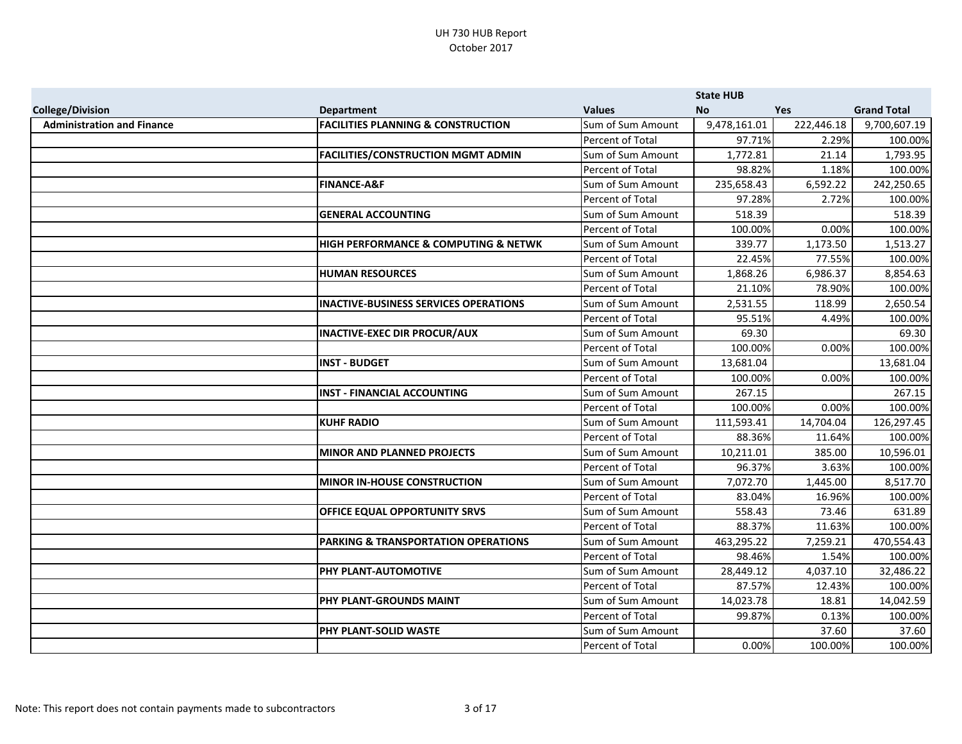|                                   |                                                |                   | <b>State HUB</b> |            |                    |
|-----------------------------------|------------------------------------------------|-------------------|------------------|------------|--------------------|
| <b>College/Division</b>           | <b>Department</b>                              | <b>Values</b>     | <b>No</b>        | <b>Yes</b> | <b>Grand Total</b> |
| <b>Administration and Finance</b> | <b>FACILITIES PLANNING &amp; CONSTRUCTION</b>  | Sum of Sum Amount | 9,478,161.01     | 222,446.18 | 9,700,607.19       |
|                                   |                                                | Percent of Total  | 97.71%           | 2.29%      | 100.00%            |
|                                   | <b>FACILITIES/CONSTRUCTION MGMT ADMIN</b>      | Sum of Sum Amount | 1,772.81         | 21.14      | 1,793.95           |
|                                   |                                                | Percent of Total  | 98.82%           | 1.18%      | 100.00%            |
|                                   | <b>FINANCE-A&amp;F</b>                         | Sum of Sum Amount | 235,658.43       | 6,592.22   | 242,250.65         |
|                                   |                                                | Percent of Total  | 97.28%           | 2.72%      | 100.00%            |
|                                   | <b>GENERAL ACCOUNTING</b>                      | Sum of Sum Amount | 518.39           |            | 518.39             |
|                                   |                                                | Percent of Total  | 100.00%          | 0.00%      | 100.00%            |
|                                   | HIGH PERFORMANCE & COMPUTING & NETWK           | Sum of Sum Amount | 339.77           | 1,173.50   | 1,513.27           |
|                                   |                                                | Percent of Total  | 22.45%           | 77.55%     | 100.00%            |
|                                   | <b>HUMAN RESOURCES</b>                         | Sum of Sum Amount | 1,868.26         | 6,986.37   | 8,854.63           |
|                                   |                                                | Percent of Total  | 21.10%           | 78.90%     | 100.00%            |
|                                   | <b>INACTIVE-BUSINESS SERVICES OPERATIONS</b>   | Sum of Sum Amount | 2,531.55         | 118.99     | 2,650.54           |
|                                   |                                                | Percent of Total  | 95.51%           | 4.49%      | 100.00%            |
|                                   | <b>INACTIVE-EXEC DIR PROCUR/AUX</b>            | Sum of Sum Amount | 69.30            |            | 69.30              |
|                                   |                                                | Percent of Total  | 100.00%          | 0.00%      | 100.00%            |
|                                   | <b>INST - BUDGET</b>                           | Sum of Sum Amount | 13,681.04        |            | 13,681.04          |
|                                   |                                                | Percent of Total  | 100.00%          | 0.00%      | 100.00%            |
|                                   | <b>INST - FINANCIAL ACCOUNTING</b>             | Sum of Sum Amount | 267.15           |            | 267.15             |
|                                   |                                                | Percent of Total  | 100.00%          | 0.00%      | 100.00%            |
|                                   | <b>KUHF RADIO</b>                              | Sum of Sum Amount | 111,593.41       | 14,704.04  | 126,297.45         |
|                                   |                                                | Percent of Total  | 88.36%           | 11.64%     | 100.00%            |
|                                   | <b>MINOR AND PLANNED PROJECTS</b>              | Sum of Sum Amount | 10,211.01        | 385.00     | 10,596.01          |
|                                   |                                                | Percent of Total  | 96.37%           | 3.63%      | 100.00%            |
|                                   | <b>MINOR IN-HOUSE CONSTRUCTION</b>             | Sum of Sum Amount | 7,072.70         | 1,445.00   | 8,517.70           |
|                                   |                                                | Percent of Total  | 83.04%           | 16.96%     | 100.00%            |
|                                   | OFFICE EQUAL OPPORTUNITY SRVS                  | Sum of Sum Amount | 558.43           | 73.46      | 631.89             |
|                                   |                                                | Percent of Total  | 88.37%           | 11.63%     | 100.00%            |
|                                   | <b>PARKING &amp; TRANSPORTATION OPERATIONS</b> | Sum of Sum Amount | 463,295.22       | 7,259.21   | 470,554.43         |
|                                   |                                                | Percent of Total  | 98.46%           | 1.54%      | 100.00%            |
|                                   | <b>PHY PLANT-AUTOMOTIVE</b>                    | Sum of Sum Amount | 28,449.12        | 4,037.10   | 32,486.22          |
|                                   |                                                | Percent of Total  | 87.57%           | 12.43%     | 100.00%            |
|                                   | PHY PLANT-GROUNDS MAINT                        | Sum of Sum Amount | 14,023.78        | 18.81      | 14,042.59          |
|                                   |                                                | Percent of Total  | 99.87%           | 0.13%      | 100.00%            |
|                                   | <b>PHY PLANT-SOLID WASTE</b>                   | Sum of Sum Amount |                  | 37.60      | 37.60              |
|                                   |                                                | Percent of Total  | 0.00%            | 100.00%    | 100.00%            |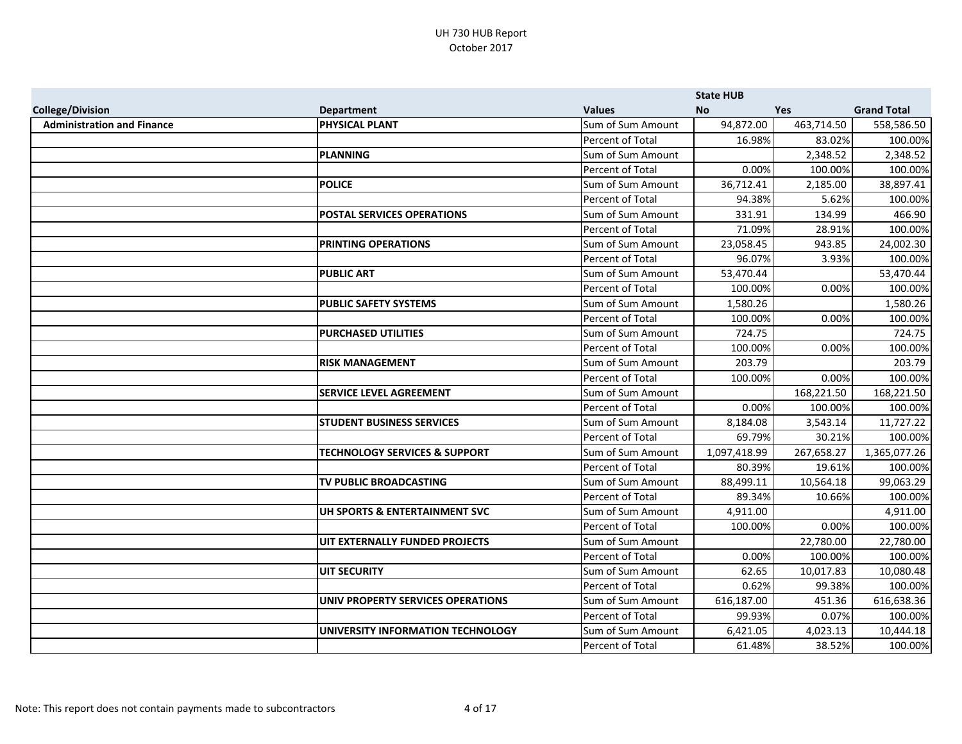|                                   |                                          |                   | <b>State HUB</b> |            |                    |
|-----------------------------------|------------------------------------------|-------------------|------------------|------------|--------------------|
| <b>College/Division</b>           | <b>Department</b>                        | <b>Values</b>     | <b>No</b>        | Yes        | <b>Grand Total</b> |
| <b>Administration and Finance</b> | <b>PHYSICAL PLANT</b>                    | Sum of Sum Amount | 94,872.00        | 463,714.50 | 558,586.50         |
|                                   |                                          | Percent of Total  | 16.98%           | 83.02%     | 100.00%            |
|                                   | <b>PLANNING</b>                          | Sum of Sum Amount |                  | 2,348.52   | 2,348.52           |
|                                   |                                          | Percent of Total  | 0.00%            | 100.00%    | 100.00%            |
|                                   | <b>POLICE</b>                            | Sum of Sum Amount | 36,712.41        | 2,185.00   | 38,897.41          |
|                                   |                                          | Percent of Total  | 94.38%           | 5.62%      | 100.00%            |
|                                   | <b>POSTAL SERVICES OPERATIONS</b>        | Sum of Sum Amount | 331.91           | 134.99     | 466.90             |
|                                   |                                          | Percent of Total  | 71.09%           | 28.91%     | 100.00%            |
|                                   | <b>PRINTING OPERATIONS</b>               | Sum of Sum Amount | 23,058.45        | 943.85     | 24,002.30          |
|                                   |                                          | Percent of Total  | 96.07%           | 3.93%      | 100.00%            |
|                                   | <b>PUBLIC ART</b>                        | Sum of Sum Amount | 53,470.44        |            | 53,470.44          |
|                                   |                                          | Percent of Total  | 100.00%          | 0.00%      | 100.00%            |
|                                   | <b>PUBLIC SAFETY SYSTEMS</b>             | Sum of Sum Amount | 1,580.26         |            | 1,580.26           |
|                                   |                                          | Percent of Total  | 100.00%          | 0.00%      | 100.00%            |
|                                   | <b>PURCHASED UTILITIES</b>               | Sum of Sum Amount | 724.75           |            | 724.75             |
|                                   |                                          | Percent of Total  | 100.00%          | 0.00%      | 100.00%            |
|                                   | <b>RISK MANAGEMENT</b>                   | Sum of Sum Amount | 203.79           |            | 203.79             |
|                                   |                                          | Percent of Total  | 100.00%          | 0.00%      | 100.00%            |
|                                   | <b>SERVICE LEVEL AGREEMENT</b>           | Sum of Sum Amount |                  | 168,221.50 | 168,221.50         |
|                                   |                                          | Percent of Total  | 0.00%            | 100.00%    | 100.00%            |
|                                   | <b>STUDENT BUSINESS SERVICES</b>         | Sum of Sum Amount | 8,184.08         | 3,543.14   | 11,727.22          |
|                                   |                                          | Percent of Total  | 69.79%           | 30.21%     | 100.00%            |
|                                   | <b>TECHNOLOGY SERVICES &amp; SUPPORT</b> | Sum of Sum Amount | 1,097,418.99     | 267,658.27 | 1,365,077.26       |
|                                   |                                          | Percent of Total  | 80.39%           | 19.61%     | 100.00%            |
|                                   | TV PUBLIC BROADCASTING                   | Sum of Sum Amount | 88,499.11        | 10,564.18  | 99,063.29          |
|                                   |                                          | Percent of Total  | 89.34%           | 10.66%     | 100.00%            |
|                                   | UH SPORTS & ENTERTAINMENT SVC            | Sum of Sum Amount | 4,911.00         |            | 4,911.00           |
|                                   |                                          | Percent of Total  | 100.00%          | 0.00%      | 100.00%            |
|                                   | UIT EXTERNALLY FUNDED PROJECTS           | Sum of Sum Amount |                  | 22,780.00  | 22,780.00          |
|                                   |                                          | Percent of Total  | 0.00%            | 100.00%    | 100.00%            |
|                                   | <b>UIT SECURITY</b>                      | Sum of Sum Amount | 62.65            | 10,017.83  | 10,080.48          |
|                                   |                                          | Percent of Total  | 0.62%            | 99.38%     | 100.00%            |
|                                   | UNIV PROPERTY SERVICES OPERATIONS        | Sum of Sum Amount | 616,187.00       | 451.36     | 616,638.36         |
|                                   |                                          | Percent of Total  | 99.93%           | 0.07%      | 100.00%            |
|                                   | UNIVERSITY INFORMATION TECHNOLOGY        | Sum of Sum Amount | 6,421.05         | 4,023.13   | 10,444.18          |
|                                   |                                          | Percent of Total  | 61.48%           | 38.52%     | 100.00%            |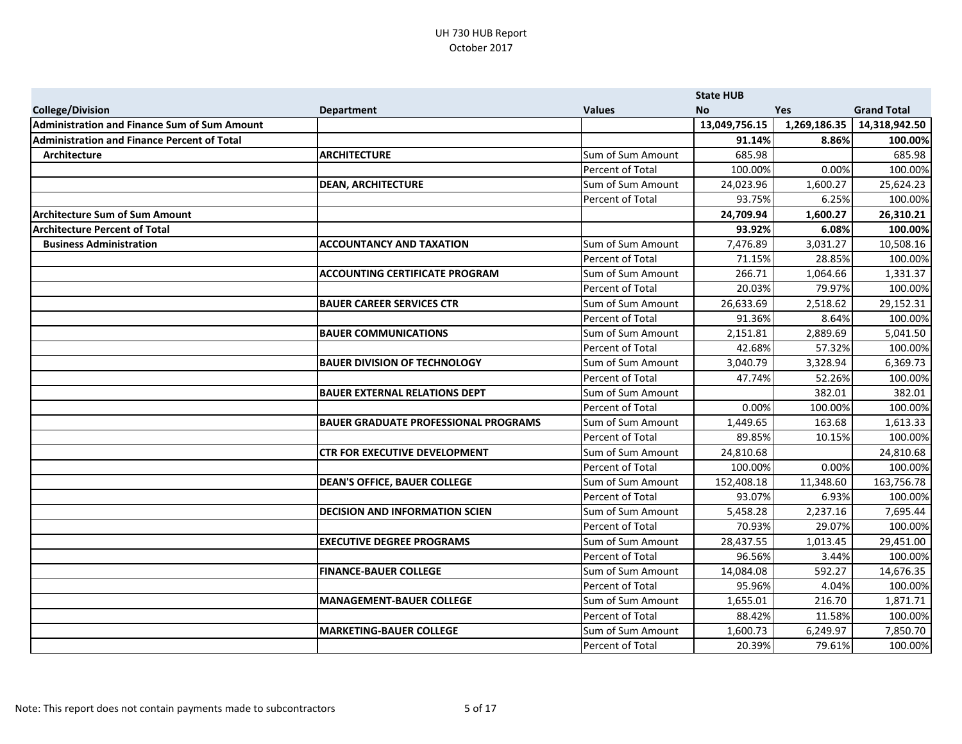|                                                     |                                             |                   | <b>State HUB</b> |              |                    |
|-----------------------------------------------------|---------------------------------------------|-------------------|------------------|--------------|--------------------|
| <b>College/Division</b>                             | <b>Department</b>                           | <b>Values</b>     | <b>No</b>        | Yes          | <b>Grand Total</b> |
| <b>Administration and Finance Sum of Sum Amount</b> |                                             |                   | 13,049,756.15    | 1,269,186.35 | 14,318,942.50      |
| <b>Administration and Finance Percent of Total</b>  |                                             |                   | 91.14%           | 8.86%        | 100.00%            |
| <b>Architecture</b>                                 | <b>ARCHITECTURE</b>                         | Sum of Sum Amount | 685.98           |              | 685.98             |
|                                                     |                                             | Percent of Total  | 100.00%          | 0.00%        | 100.00%            |
|                                                     | <b>DEAN, ARCHITECTURE</b>                   | Sum of Sum Amount | 24,023.96        | 1,600.27     | 25,624.23          |
|                                                     |                                             | Percent of Total  | 93.75%           | 6.25%        | 100.00%            |
| <b>Architecture Sum of Sum Amount</b>               |                                             |                   | 24,709.94        | 1,600.27     | 26,310.21          |
| <b>Architecture Percent of Total</b>                |                                             |                   | 93.92%           | 6.08%        | 100.00%            |
| <b>Business Administration</b>                      | <b>ACCOUNTANCY AND TAXATION</b>             | Sum of Sum Amount | 7,476.89         | 3,031.27     | 10,508.16          |
|                                                     |                                             | Percent of Total  | 71.15%           | 28.85%       | 100.00%            |
|                                                     | <b>ACCOUNTING CERTIFICATE PROGRAM</b>       | Sum of Sum Amount | 266.71           | 1,064.66     | 1,331.37           |
|                                                     |                                             | Percent of Total  | 20.03%           | 79.97%       | 100.00%            |
|                                                     | <b>BAUER CAREER SERVICES CTR</b>            | Sum of Sum Amount | 26,633.69        | 2,518.62     | 29,152.31          |
|                                                     |                                             | Percent of Total  | 91.36%           | 8.64%        | 100.00%            |
|                                                     | <b>BAUER COMMUNICATIONS</b>                 | Sum of Sum Amount | 2,151.81         | 2,889.69     | 5,041.50           |
|                                                     |                                             | Percent of Total  | 42.68%           | 57.32%       | 100.00%            |
|                                                     | <b>BAUER DIVISION OF TECHNOLOGY</b>         | Sum of Sum Amount | 3,040.79         | 3,328.94     | 6,369.73           |
|                                                     |                                             | Percent of Total  | 47.74%           | 52.26%       | 100.00%            |
|                                                     | <b>BAUER EXTERNAL RELATIONS DEPT</b>        | Sum of Sum Amount |                  | 382.01       | 382.01             |
|                                                     |                                             | Percent of Total  | 0.00%            | 100.00%      | 100.00%            |
|                                                     | <b>BAUER GRADUATE PROFESSIONAL PROGRAMS</b> | Sum of Sum Amount | 1,449.65         | 163.68       | 1,613.33           |
|                                                     |                                             | Percent of Total  | 89.85%           | 10.15%       | 100.00%            |
|                                                     | <b>CTR FOR EXECUTIVE DEVELOPMENT</b>        | Sum of Sum Amount | 24,810.68        |              | 24,810.68          |
|                                                     |                                             | Percent of Total  | 100.00%          | 0.00%        | 100.00%            |
|                                                     | <b>DEAN'S OFFICE, BAUER COLLEGE</b>         | Sum of Sum Amount | 152,408.18       | 11,348.60    | 163,756.78         |
|                                                     |                                             | Percent of Total  | 93.07%           | 6.93%        | 100.00%            |
|                                                     | <b>DECISION AND INFORMATION SCIEN</b>       | Sum of Sum Amount | 5,458.28         | 2,237.16     | 7,695.44           |
|                                                     |                                             | Percent of Total  | 70.93%           | 29.07%       | 100.00%            |
|                                                     | <b>EXECUTIVE DEGREE PROGRAMS</b>            | Sum of Sum Amount | 28,437.55        | 1,013.45     | 29,451.00          |
|                                                     |                                             | Percent of Total  | 96.56%           | 3.44%        | 100.00%            |
|                                                     | <b>FINANCE-BAUER COLLEGE</b>                | Sum of Sum Amount | 14,084.08        | 592.27       | 14,676.35          |
|                                                     |                                             | Percent of Total  | 95.96%           | 4.04%        | 100.00%            |
|                                                     | <b>MANAGEMENT-BAUER COLLEGE</b>             | Sum of Sum Amount | 1,655.01         | 216.70       | 1,871.71           |
|                                                     |                                             | Percent of Total  | 88.42%           | 11.58%       | 100.00%            |
|                                                     | <b>MARKETING-BAUER COLLEGE</b>              | Sum of Sum Amount | 1,600.73         | 6,249.97     | 7,850.70           |
|                                                     |                                             | Percent of Total  | 20.39%           | 79.61%       | 100.00%            |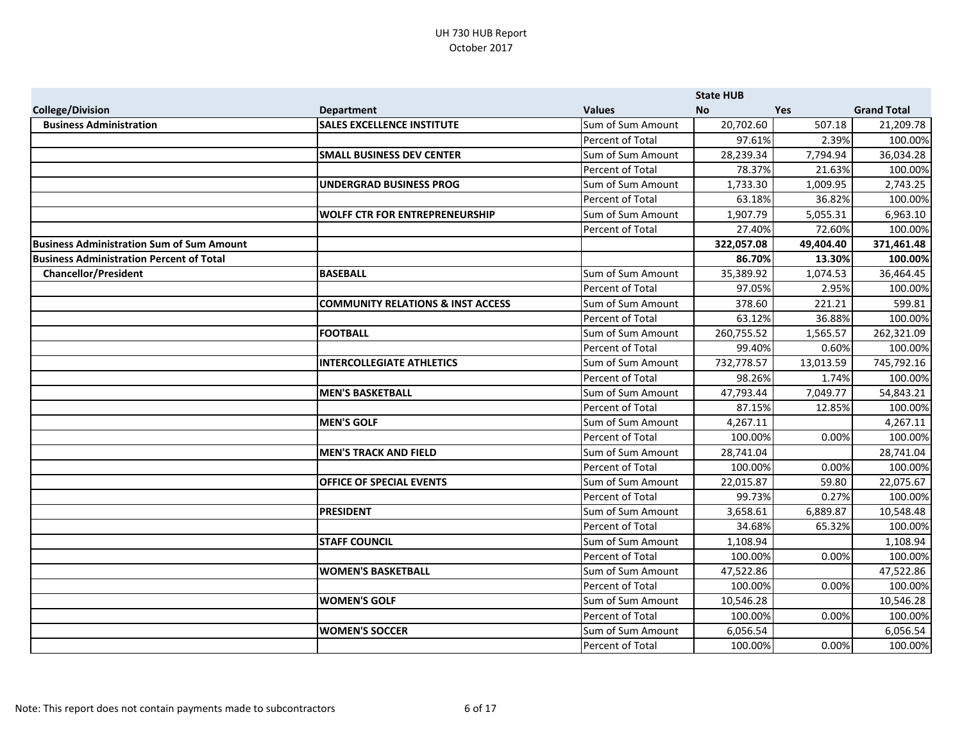|                                                  |                                              |                   | <b>State HUB</b> |            |                    |
|--------------------------------------------------|----------------------------------------------|-------------------|------------------|------------|--------------------|
| <b>College/Division</b>                          | <b>Department</b>                            | <b>Values</b>     | <b>No</b>        | <b>Yes</b> | <b>Grand Total</b> |
| <b>Business Administration</b>                   | <b>SALES EXCELLENCE INSTITUTE</b>            | Sum of Sum Amount | 20,702.60        | 507.18     | 21,209.78          |
|                                                  |                                              | Percent of Total  | 97.61%           | 2.39%      | 100.00%            |
|                                                  | <b>SMALL BUSINESS DEV CENTER</b>             | Sum of Sum Amount | 28,239.34        | 7,794.94   | 36,034.28          |
|                                                  |                                              | Percent of Total  | 78.37%           | 21.63%     | 100.00%            |
|                                                  | <b>UNDERGRAD BUSINESS PROG</b>               | Sum of Sum Amount | 1,733.30         | 1,009.95   | 2,743.25           |
|                                                  |                                              | Percent of Total  | 63.18%           | 36.82%     | 100.00%            |
|                                                  | <b>WOLFF CTR FOR ENTREPRENEURSHIP</b>        | Sum of Sum Amount | 1,907.79         | 5,055.31   | 6,963.10           |
|                                                  |                                              | Percent of Total  | 27.40%           | 72.60%     | 100.00%            |
| <b>Business Administration Sum of Sum Amount</b> |                                              |                   | 322,057.08       | 49,404.40  | 371,461.48         |
| <b>Business Administration Percent of Total</b>  |                                              |                   | 86.70%           | 13.30%     | 100.00%            |
| <b>Chancellor/President</b>                      | <b>BASEBALL</b>                              | Sum of Sum Amount | 35,389.92        | 1,074.53   | 36,464.45          |
|                                                  |                                              | Percent of Total  | 97.05%           | 2.95%      | 100.00%            |
|                                                  | <b>COMMUNITY RELATIONS &amp; INST ACCESS</b> | Sum of Sum Amount | 378.60           | 221.21     | 599.81             |
|                                                  |                                              | Percent of Total  | 63.12%           | 36.88%     | 100.00%            |
|                                                  | <b>FOOTBALL</b>                              | Sum of Sum Amount | 260,755.52       | 1,565.57   | 262,321.09         |
|                                                  |                                              | Percent of Total  | 99.40%           | 0.60%      | 100.00%            |
|                                                  | <b>INTERCOLLEGIATE ATHLETICS</b>             | Sum of Sum Amount | 732,778.57       | 13,013.59  | 745,792.16         |
|                                                  |                                              | Percent of Total  | 98.26%           | 1.74%      | 100.00%            |
|                                                  | <b>MEN'S BASKETBALL</b>                      | Sum of Sum Amount | 47,793.44        | 7,049.77   | 54,843.21          |
|                                                  |                                              | Percent of Total  | 87.15%           | 12.85%     | 100.00%            |
|                                                  | <b>MEN'S GOLF</b>                            | Sum of Sum Amount | 4,267.11         |            | 4,267.11           |
|                                                  |                                              | Percent of Total  | 100.00%          | 0.00%      | 100.00%            |
|                                                  | <b>MEN'S TRACK AND FIELD</b>                 | Sum of Sum Amount | 28,741.04        |            | 28,741.04          |
|                                                  |                                              | Percent of Total  | 100.00%          | 0.00%      | 100.00%            |
|                                                  | <b>OFFICE OF SPECIAL EVENTS</b>              | Sum of Sum Amount | 22,015.87        | 59.80      | 22,075.67          |
|                                                  |                                              | Percent of Total  | 99.73%           | 0.27%      | 100.00%            |
|                                                  | <b>PRESIDENT</b>                             | Sum of Sum Amount | 3,658.61         | 6,889.87   | 10,548.48          |
|                                                  |                                              | Percent of Total  | 34.68%           | 65.32%     | 100.00%            |
|                                                  | <b>STAFF COUNCIL</b>                         | Sum of Sum Amount | 1,108.94         |            | 1,108.94           |
|                                                  |                                              | Percent of Total  | 100.00%          | 0.00%      | 100.00%            |
|                                                  | <b>WOMEN'S BASKETBALL</b>                    | Sum of Sum Amount | 47,522.86        |            | 47,522.86          |
|                                                  |                                              | Percent of Total  | 100.00%          | 0.00%      | 100.00%            |
|                                                  | <b>WOMEN'S GOLF</b>                          | Sum of Sum Amount | 10,546.28        |            | 10,546.28          |
|                                                  |                                              | Percent of Total  | 100.00%          | 0.00%      | 100.00%            |
|                                                  | <b>WOMEN'S SOCCER</b>                        | Sum of Sum Amount | 6,056.54         |            | 6,056.54           |
|                                                  |                                              | Percent of Total  | 100.00%          | 0.00%      | 100.00%            |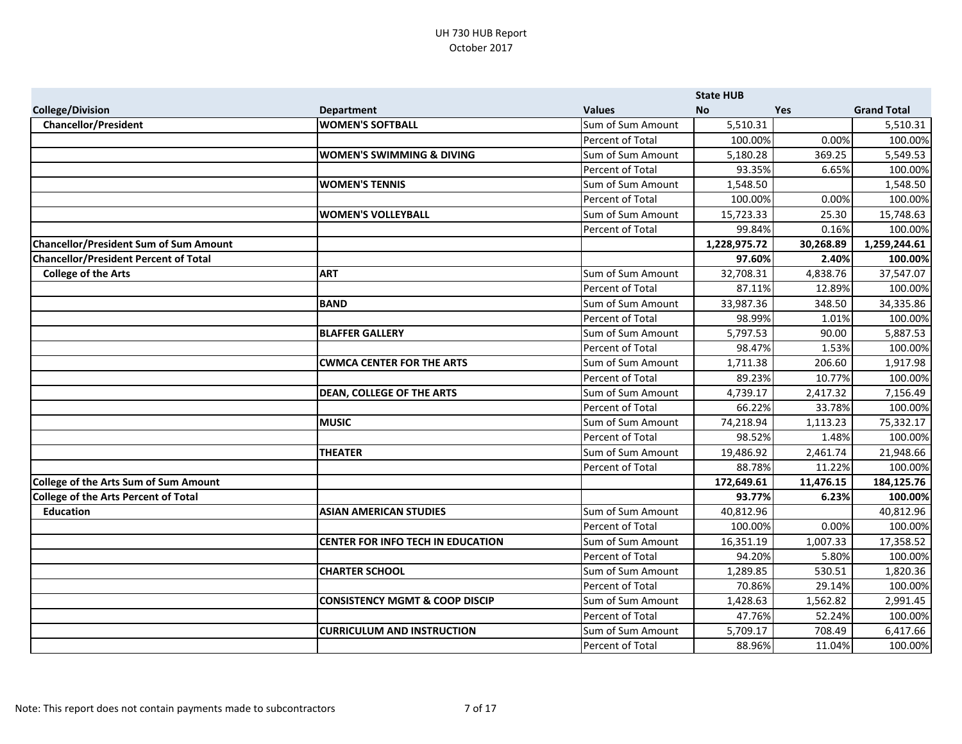|                                               |                                           |                   | <b>State HUB</b> |           |                    |
|-----------------------------------------------|-------------------------------------------|-------------------|------------------|-----------|--------------------|
| <b>College/Division</b>                       | <b>Department</b>                         | <b>Values</b>     | <b>No</b>        | Yes       | <b>Grand Total</b> |
| <b>Chancellor/President</b>                   | <b>WOMEN'S SOFTBALL</b>                   | Sum of Sum Amount | 5,510.31         |           | 5,510.31           |
|                                               |                                           | Percent of Total  | 100.00%          | 0.00%     | 100.00%            |
|                                               | <b>WOMEN'S SWIMMING &amp; DIVING</b>      | Sum of Sum Amount | 5,180.28         | 369.25    | 5,549.53           |
|                                               |                                           | Percent of Total  | 93.35%           | 6.65%     | 100.00%            |
|                                               | <b>WOMEN'S TENNIS</b>                     | Sum of Sum Amount | 1,548.50         |           | 1,548.50           |
|                                               |                                           | Percent of Total  | 100.00%          | 0.00%     | 100.00%            |
|                                               | <b>WOMEN'S VOLLEYBALL</b>                 | Sum of Sum Amount | 15,723.33        | 25.30     | 15,748.63          |
|                                               |                                           | Percent of Total  | 99.84%           | 0.16%     | 100.00%            |
| <b>Chancellor/President Sum of Sum Amount</b> |                                           |                   | 1,228,975.72     | 30,268.89 | 1,259,244.61       |
| <b>Chancellor/President Percent of Total</b>  |                                           |                   | 97.60%           | 2.40%     | 100.00%            |
| <b>College of the Arts</b>                    | <b>ART</b>                                | Sum of Sum Amount | 32,708.31        | 4,838.76  | 37,547.07          |
|                                               |                                           | Percent of Total  | 87.11%           | 12.89%    | 100.00%            |
|                                               | <b>BAND</b>                               | Sum of Sum Amount | 33,987.36        | 348.50    | 34,335.86          |
|                                               |                                           | Percent of Total  | 98.99%           | 1.01%     | 100.00%            |
|                                               | <b>BLAFFER GALLERY</b>                    | Sum of Sum Amount | 5,797.53         | 90.00     | 5,887.53           |
|                                               |                                           | Percent of Total  | 98.47%           | 1.53%     | 100.00%            |
|                                               | <b>CWMCA CENTER FOR THE ARTS</b>          | Sum of Sum Amount | 1,711.38         | 206.60    | 1,917.98           |
|                                               |                                           | Percent of Total  | 89.23%           | 10.77%    | 100.00%            |
|                                               | <b>DEAN, COLLEGE OF THE ARTS</b>          | Sum of Sum Amount | 4,739.17         | 2,417.32  | 7,156.49           |
|                                               |                                           | Percent of Total  | 66.22%           | 33.78%    | 100.00%            |
|                                               | <b>MUSIC</b>                              | Sum of Sum Amount | 74,218.94        | 1,113.23  | 75,332.17          |
|                                               |                                           | Percent of Total  | 98.52%           | 1.48%     | 100.00%            |
|                                               | <b>THEATER</b>                            | Sum of Sum Amount | 19,486.92        | 2,461.74  | 21,948.66          |
|                                               |                                           | Percent of Total  | 88.78%           | 11.22%    | 100.00%            |
| <b>College of the Arts Sum of Sum Amount</b>  |                                           |                   | 172,649.61       | 11,476.15 | 184,125.76         |
| <b>College of the Arts Percent of Total</b>   |                                           |                   | 93.77%           | 6.23%     | 100.00%            |
| <b>Education</b>                              | <b>ASIAN AMERICAN STUDIES</b>             | Sum of Sum Amount | 40,812.96        |           | 40,812.96          |
|                                               |                                           | Percent of Total  | 100.00%          | 0.00%     | 100.00%            |
|                                               | <b>CENTER FOR INFO TECH IN EDUCATION</b>  | Sum of Sum Amount | 16,351.19        | 1,007.33  | 17,358.52          |
|                                               |                                           | Percent of Total  | 94.20%           | 5.80%     | 100.00%            |
|                                               | <b>CHARTER SCHOOL</b>                     | Sum of Sum Amount | 1,289.85         | 530.51    | 1,820.36           |
|                                               |                                           | Percent of Total  | 70.86%           | 29.14%    | 100.00%            |
|                                               | <b>CONSISTENCY MGMT &amp; COOP DISCIP</b> | Sum of Sum Amount | 1,428.63         | 1,562.82  | 2,991.45           |
|                                               |                                           | Percent of Total  | 47.76%           | 52.24%    | 100.00%            |
|                                               | <b>CURRICULUM AND INSTRUCTION</b>         | Sum of Sum Amount | 5,709.17         | 708.49    | 6,417.66           |
|                                               |                                           | Percent of Total  | 88.96%           | 11.04%    | 100.00%            |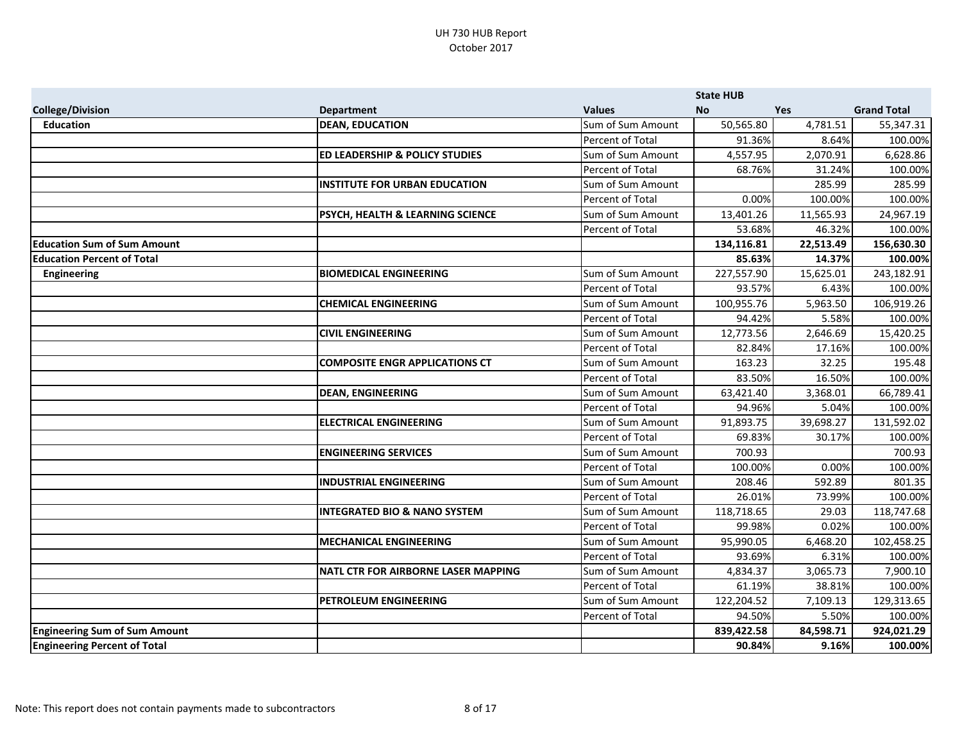|                                      |                                           |                   | <b>State HUB</b> |            |                    |
|--------------------------------------|-------------------------------------------|-------------------|------------------|------------|--------------------|
| <b>College/Division</b>              | <b>Department</b>                         | <b>Values</b>     | <b>No</b>        | <b>Yes</b> | <b>Grand Total</b> |
| <b>Education</b>                     | <b>DEAN, EDUCATION</b>                    | Sum of Sum Amount | 50,565.80        | 4,781.51   | 55,347.31          |
|                                      |                                           | Percent of Total  | 91.36%           | 8.64%      | 100.00%            |
|                                      | <b>ED LEADERSHIP &amp; POLICY STUDIES</b> | Sum of Sum Amount | 4,557.95         | 2,070.91   | 6,628.86           |
|                                      |                                           | Percent of Total  | 68.76%           | 31.24%     | 100.00%            |
|                                      | <b>INSTITUTE FOR URBAN EDUCATION</b>      | Sum of Sum Amount |                  | 285.99     | 285.99             |
|                                      |                                           | Percent of Total  | 0.00%            | 100.00%    | 100.00%            |
|                                      | PSYCH, HEALTH & LEARNING SCIENCE          | Sum of Sum Amount | 13,401.26        | 11,565.93  | 24,967.19          |
|                                      |                                           | Percent of Total  | 53.68%           | 46.32%     | 100.00%            |
| <b>Education Sum of Sum Amount</b>   |                                           |                   | 134,116.81       | 22,513.49  | 156,630.30         |
| <b>Education Percent of Total</b>    |                                           |                   | 85.63%           | 14.37%     | 100.00%            |
| <b>Engineering</b>                   | <b>BIOMEDICAL ENGINEERING</b>             | Sum of Sum Amount | 227,557.90       | 15,625.01  | 243,182.91         |
|                                      |                                           | Percent of Total  | 93.57%           | 6.43%      | 100.00%            |
|                                      | <b>CHEMICAL ENGINEERING</b>               | Sum of Sum Amount | 100,955.76       | 5,963.50   | 106,919.26         |
|                                      |                                           | Percent of Total  | 94.42%           | 5.58%      | 100.00%            |
|                                      | <b>CIVIL ENGINEERING</b>                  | Sum of Sum Amount | 12,773.56        | 2,646.69   | 15,420.25          |
|                                      |                                           | Percent of Total  | 82.84%           | 17.16%     | 100.00%            |
|                                      | <b>COMPOSITE ENGR APPLICATIONS CT</b>     | Sum of Sum Amount | 163.23           | 32.25      | 195.48             |
|                                      |                                           | Percent of Total  | 83.50%           | 16.50%     | 100.00%            |
|                                      | <b>DEAN, ENGINEERING</b>                  | Sum of Sum Amount | 63,421.40        | 3,368.01   | 66,789.41          |
|                                      |                                           | Percent of Total  | 94.96%           | 5.04%      | 100.00%            |
|                                      | <b>ELECTRICAL ENGINEERING</b>             | Sum of Sum Amount | 91,893.75        | 39,698.27  | 131,592.02         |
|                                      |                                           | Percent of Total  | 69.83%           | 30.17%     | 100.00%            |
|                                      | <b>ENGINEERING SERVICES</b>               | Sum of Sum Amount | 700.93           |            | 700.93             |
|                                      |                                           | Percent of Total  | 100.00%          | 0.00%      | 100.00%            |
|                                      | <b>INDUSTRIAL ENGINEERING</b>             | Sum of Sum Amount | 208.46           | 592.89     | 801.35             |
|                                      |                                           | Percent of Total  | 26.01%           | 73.99%     | 100.00%            |
|                                      | <b>INTEGRATED BIO &amp; NANO SYSTEM</b>   | Sum of Sum Amount | 118,718.65       | 29.03      | 118,747.68         |
|                                      |                                           | Percent of Total  | 99.98%           | 0.02%      | 100.00%            |
|                                      | <b>MECHANICAL ENGINEERING</b>             | Sum of Sum Amount | 95,990.05        | 6,468.20   | 102,458.25         |
|                                      |                                           | Percent of Total  | 93.69%           | 6.31%      | 100.00%            |
|                                      | NATL CTR FOR AIRBORNE LASER MAPPING       | Sum of Sum Amount | 4,834.37         | 3,065.73   | 7,900.10           |
|                                      |                                           | Percent of Total  | 61.19%           | 38.81%     | 100.00%            |
|                                      | PETROLEUM ENGINEERING                     | Sum of Sum Amount | 122,204.52       | 7,109.13   | 129,313.65         |
|                                      |                                           | Percent of Total  | 94.50%           | 5.50%      | 100.00%            |
| <b>Engineering Sum of Sum Amount</b> |                                           |                   | 839,422.58       | 84,598.71  | 924,021.29         |
| <b>Engineering Percent of Total</b>  |                                           |                   | 90.84%           | 9.16%      | 100.00%            |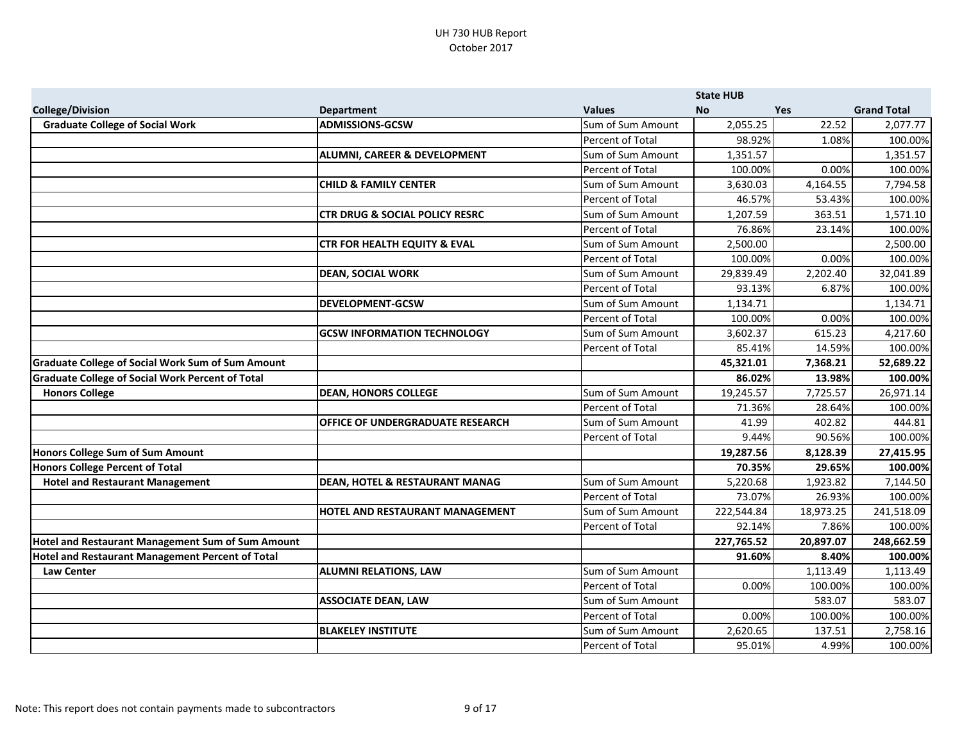|                                                          |                                           |                   | <b>State HUB</b> |           |                    |
|----------------------------------------------------------|-------------------------------------------|-------------------|------------------|-----------|--------------------|
| <b>College/Division</b>                                  | <b>Department</b>                         | <b>Values</b>     | <b>No</b>        | Yes       | <b>Grand Total</b> |
| <b>Graduate College of Social Work</b>                   | <b>ADMISSIONS-GCSW</b>                    | Sum of Sum Amount | 2,055.25         | 22.52     | 2,077.77           |
|                                                          |                                           | Percent of Total  | 98.92%           | 1.08%     | 100.00%            |
|                                                          | <b>ALUMNI, CAREER &amp; DEVELOPMENT</b>   | Sum of Sum Amount | 1,351.57         |           | 1,351.57           |
|                                                          |                                           | Percent of Total  | 100.00%          | 0.00%     | 100.00%            |
|                                                          | <b>CHILD &amp; FAMILY CENTER</b>          | Sum of Sum Amount | 3,630.03         | 4,164.55  | 7,794.58           |
|                                                          |                                           | Percent of Total  | 46.57%           | 53.43%    | 100.00%            |
|                                                          | <b>CTR DRUG &amp; SOCIAL POLICY RESRC</b> | Sum of Sum Amount | 1,207.59         | 363.51    | 1,571.10           |
|                                                          |                                           | Percent of Total  | 76.86%           | 23.14%    | 100.00%            |
|                                                          | <b>CTR FOR HEALTH EQUITY &amp; EVAL</b>   | Sum of Sum Amount | 2,500.00         |           | 2,500.00           |
|                                                          |                                           | Percent of Total  | 100.00%          | 0.00%     | 100.00%            |
|                                                          | <b>DEAN, SOCIAL WORK</b>                  | Sum of Sum Amount | 29,839.49        | 2,202.40  | 32,041.89          |
|                                                          |                                           | Percent of Total  | 93.13%           | 6.87%     | 100.00%            |
|                                                          | <b>DEVELOPMENT-GCSW</b>                   | Sum of Sum Amount | 1,134.71         |           | 1,134.71           |
|                                                          |                                           | Percent of Total  | 100.00%          | 0.00%     | 100.00%            |
|                                                          | <b>GCSW INFORMATION TECHNOLOGY</b>        | Sum of Sum Amount | 3,602.37         | 615.23    | 4,217.60           |
|                                                          |                                           | Percent of Total  | 85.41%           | 14.59%    | 100.00%            |
| Graduate College of Social Work Sum of Sum Amount        |                                           |                   | 45,321.01        | 7,368.21  | 52,689.22          |
| Graduate College of Social Work Percent of Total         |                                           |                   | 86.02%           | 13.98%    | 100.00%            |
| <b>Honors College</b>                                    | <b>DEAN, HONORS COLLEGE</b>               | Sum of Sum Amount | 19,245.57        | 7,725.57  | 26,971.14          |
|                                                          |                                           | Percent of Total  | 71.36%           | 28.64%    | 100.00%            |
|                                                          | <b>OFFICE OF UNDERGRADUATE RESEARCH</b>   | Sum of Sum Amount | 41.99            | 402.82    | 444.81             |
|                                                          |                                           | Percent of Total  | 9.44%            | 90.56%    | 100.00%            |
| Honors College Sum of Sum Amount                         |                                           |                   | 19,287.56        | 8,128.39  | 27,415.95          |
| <b>Honors College Percent of Total</b>                   |                                           |                   | 70.35%           | 29.65%    | 100.00%            |
| <b>Hotel and Restaurant Management</b>                   | <b>DEAN, HOTEL &amp; RESTAURANT MANAG</b> | Sum of Sum Amount | 5,220.68         | 1,923.82  | 7,144.50           |
|                                                          |                                           | Percent of Total  | 73.07%           | 26.93%    | 100.00%            |
|                                                          | HOTEL AND RESTAURANT MANAGEMENT           | Sum of Sum Amount | 222,544.84       | 18,973.25 | 241,518.09         |
|                                                          |                                           | Percent of Total  | 92.14%           | 7.86%     | 100.00%            |
| <b>Hotel and Restaurant Management Sum of Sum Amount</b> |                                           |                   | 227,765.52       | 20,897.07 | 248,662.59         |
| <b>Hotel and Restaurant Management Percent of Total</b>  |                                           |                   | 91.60%           | 8.40%     | 100.00%            |
| <b>Law Center</b>                                        | <b>ALUMNI RELATIONS, LAW</b>              | Sum of Sum Amount |                  | 1,113.49  | 1,113.49           |
|                                                          |                                           | Percent of Total  | 0.00%            | 100.00%   | 100.00%            |
|                                                          | <b>ASSOCIATE DEAN, LAW</b>                | Sum of Sum Amount |                  | 583.07    | 583.07             |
|                                                          |                                           | Percent of Total  | 0.00%            | 100.00%   | 100.00%            |
|                                                          | <b>BLAKELEY INSTITUTE</b>                 | Sum of Sum Amount | 2,620.65         | 137.51    | 2,758.16           |
|                                                          |                                           | Percent of Total  | 95.01%           | 4.99%     | 100.00%            |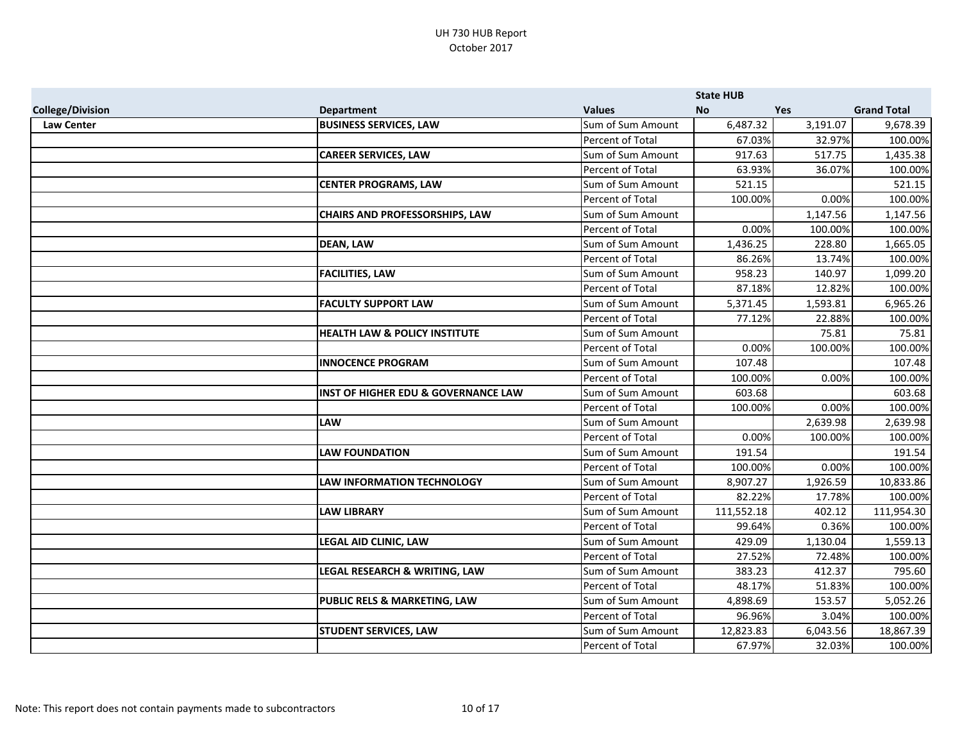|                         |                                                |                         | <b>State HUB</b> |            |                    |
|-------------------------|------------------------------------------------|-------------------------|------------------|------------|--------------------|
| <b>College/Division</b> | <b>Department</b>                              | <b>Values</b>           | <b>No</b>        | <b>Yes</b> | <b>Grand Total</b> |
| <b>Law Center</b>       | <b>BUSINESS SERVICES, LAW</b>                  | Sum of Sum Amount       | 6,487.32         | 3,191.07   | 9,678.39           |
|                         |                                                | Percent of Total        | 67.03%           | 32.97%     | 100.00%            |
|                         | <b>CAREER SERVICES, LAW</b>                    | Sum of Sum Amount       | 917.63           | 517.75     | 1,435.38           |
|                         |                                                | Percent of Total        | 63.93%           | 36.07%     | 100.00%            |
|                         | <b>CENTER PROGRAMS, LAW</b>                    | Sum of Sum Amount       | 521.15           |            | 521.15             |
|                         |                                                | Percent of Total        | 100.00%          | 0.00%      | 100.00%            |
|                         | <b>CHAIRS AND PROFESSORSHIPS, LAW</b>          | Sum of Sum Amount       |                  | 1,147.56   | 1,147.56           |
|                         |                                                | <b>Percent of Total</b> | 0.00%            | 100.00%    | 100.00%            |
|                         | <b>DEAN, LAW</b>                               | Sum of Sum Amount       | 1,436.25         | 228.80     | 1,665.05           |
|                         |                                                | Percent of Total        | 86.26%           | 13.74%     | 100.00%            |
|                         | <b>FACILITIES, LAW</b>                         | Sum of Sum Amount       | 958.23           | 140.97     | 1,099.20           |
|                         |                                                | Percent of Total        | 87.18%           | 12.82%     | 100.00%            |
|                         | <b>FACULTY SUPPORT LAW</b>                     | Sum of Sum Amount       | 5,371.45         | 1,593.81   | 6,965.26           |
|                         |                                                | Percent of Total        | 77.12%           | 22.88%     | 100.00%            |
|                         | <b>HEALTH LAW &amp; POLICY INSTITUTE</b>       | Sum of Sum Amount       |                  | 75.81      | 75.81              |
|                         |                                                | Percent of Total        | 0.00%            | 100.00%    | 100.00%            |
|                         | <b>INNOCENCE PROGRAM</b>                       | Sum of Sum Amount       | 107.48           |            | 107.48             |
|                         |                                                | Percent of Total        | 100.00%          | 0.00%      | 100.00%            |
|                         | <b>INST OF HIGHER EDU &amp; GOVERNANCE LAW</b> | Sum of Sum Amount       | 603.68           |            | 603.68             |
|                         |                                                | Percent of Total        | 100.00%          | 0.00%      | 100.00%            |
|                         | <b>LAW</b>                                     | Sum of Sum Amount       |                  | 2,639.98   | 2,639.98           |
|                         |                                                | Percent of Total        | 0.00%            | 100.00%    | 100.00%            |
|                         | <b>LAW FOUNDATION</b>                          | Sum of Sum Amount       | 191.54           |            | 191.54             |
|                         |                                                | Percent of Total        | 100.00%          | 0.00%      | 100.00%            |
|                         | <b>LAW INFORMATION TECHNOLOGY</b>              | Sum of Sum Amount       | 8,907.27         | 1,926.59   | 10,833.86          |
|                         |                                                | Percent of Total        | 82.22%           | 17.78%     | 100.00%            |
|                         | <b>LAW LIBRARY</b>                             | Sum of Sum Amount       | 111,552.18       | 402.12     | 111,954.30         |
|                         |                                                | Percent of Total        | 99.64%           | 0.36%      | 100.00%            |
|                         | <b>LEGAL AID CLINIC, LAW</b>                   | Sum of Sum Amount       | 429.09           | 1,130.04   | 1,559.13           |
|                         |                                                | Percent of Total        | 27.52%           | 72.48%     | 100.00%            |
|                         | LEGAL RESEARCH & WRITING, LAW                  | Sum of Sum Amount       | 383.23           | 412.37     | 795.60             |
|                         |                                                | Percent of Total        | 48.17%           | 51.83%     | 100.00%            |
|                         | PUBLIC RELS & MARKETING, LAW                   | Sum of Sum Amount       | 4,898.69         | 153.57     | 5,052.26           |
|                         |                                                | Percent of Total        | 96.96%           | 3.04%      | 100.00%            |
|                         | <b>STUDENT SERVICES, LAW</b>                   | Sum of Sum Amount       | 12,823.83        | 6,043.56   | 18,867.39          |
|                         |                                                | Percent of Total        | 67.97%           | 32.03%     | 100.00%            |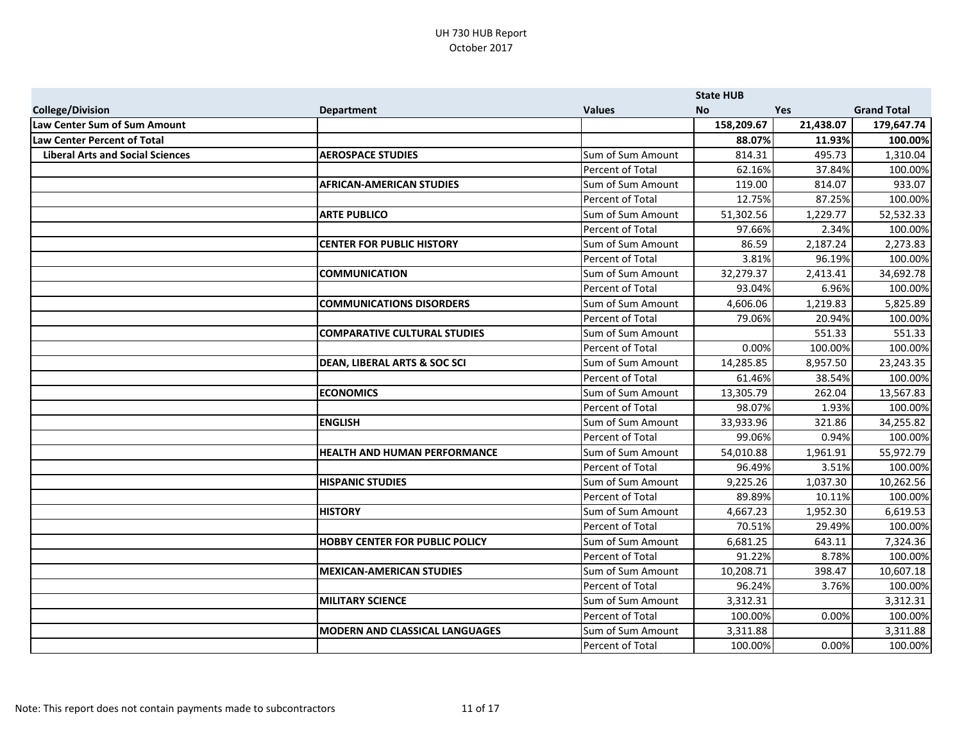|                                         |                                         |                   | <b>State HUB</b> |            |                    |
|-----------------------------------------|-----------------------------------------|-------------------|------------------|------------|--------------------|
| <b>College/Division</b>                 | <b>Department</b>                       | <b>Values</b>     | <b>No</b>        | <b>Yes</b> | <b>Grand Total</b> |
| Law Center Sum of Sum Amount            |                                         |                   | 158,209.67       | 21,438.07  | 179,647.74         |
| <b>Law Center Percent of Total</b>      |                                         |                   | 88.07%           | 11.93%     | 100.00%            |
| <b>Liberal Arts and Social Sciences</b> | <b>AEROSPACE STUDIES</b>                | Sum of Sum Amount | 814.31           | 495.73     | 1,310.04           |
|                                         |                                         | Percent of Total  | 62.16%           | 37.84%     | 100.00%            |
|                                         | <b>AFRICAN-AMERICAN STUDIES</b>         | Sum of Sum Amount | 119.00           | 814.07     | 933.07             |
|                                         |                                         | Percent of Total  | 12.75%           | 87.25%     | 100.00%            |
|                                         | <b>ARTE PUBLICO</b>                     | Sum of Sum Amount | 51,302.56        | 1,229.77   | 52,532.33          |
|                                         |                                         | Percent of Total  | 97.66%           | 2.34%      | 100.00%            |
|                                         | <b>CENTER FOR PUBLIC HISTORY</b>        | Sum of Sum Amount | 86.59            | 2,187.24   | 2,273.83           |
|                                         |                                         | Percent of Total  | 3.81%            | 96.19%     | 100.00%            |
|                                         | <b>COMMUNICATION</b>                    | Sum of Sum Amount | 32,279.37        | 2,413.41   | 34,692.78          |
|                                         |                                         | Percent of Total  | 93.04%           | 6.96%      | 100.00%            |
|                                         | <b>COMMUNICATIONS DISORDERS</b>         | Sum of Sum Amount | 4,606.06         | 1,219.83   | 5,825.89           |
|                                         |                                         | Percent of Total  | 79.06%           | 20.94%     | 100.00%            |
|                                         | <b>COMPARATIVE CULTURAL STUDIES</b>     | Sum of Sum Amount |                  | 551.33     | 551.33             |
|                                         |                                         | Percent of Total  | 0.00%            | 100.00%    | 100.00%            |
|                                         | <b>DEAN, LIBERAL ARTS &amp; SOC SCI</b> | Sum of Sum Amount | 14,285.85        | 8,957.50   | 23,243.35          |
|                                         |                                         | Percent of Total  | 61.46%           | 38.54%     | 100.00%            |
|                                         | <b>ECONOMICS</b>                        | Sum of Sum Amount | 13,305.79        | 262.04     | 13,567.83          |
|                                         |                                         | Percent of Total  | 98.07%           | 1.93%      | 100.00%            |
|                                         | <b>ENGLISH</b>                          | Sum of Sum Amount | 33,933.96        | 321.86     | 34,255.82          |
|                                         |                                         | Percent of Total  | 99.06%           | 0.94%      | 100.00%            |
|                                         | <b>HEALTH AND HUMAN PERFORMANCE</b>     | Sum of Sum Amount | 54,010.88        | 1,961.91   | 55,972.79          |
|                                         |                                         | Percent of Total  | 96.49%           | 3.51%      | 100.00%            |
|                                         | <b>HISPANIC STUDIES</b>                 | Sum of Sum Amount | 9,225.26         | 1,037.30   | 10,262.56          |
|                                         |                                         | Percent of Total  | 89.89%           | 10.11%     | 100.00%            |
|                                         | <b>HISTORY</b>                          | Sum of Sum Amount | 4,667.23         | 1,952.30   | 6,619.53           |
|                                         |                                         | Percent of Total  | 70.51%           | 29.49%     | 100.00%            |
|                                         | <b>HOBBY CENTER FOR PUBLIC POLICY</b>   | Sum of Sum Amount | 6,681.25         | 643.11     | 7,324.36           |
|                                         |                                         | Percent of Total  | 91.22%           | 8.78%      | 100.00%            |
|                                         | <b>MEXICAN-AMERICAN STUDIES</b>         | Sum of Sum Amount | 10,208.71        | 398.47     | 10,607.18          |
|                                         |                                         | Percent of Total  | 96.24%           | 3.76%      | 100.00%            |
|                                         | <b>MILITARY SCIENCE</b>                 | Sum of Sum Amount | 3,312.31         |            | 3,312.31           |
|                                         |                                         | Percent of Total  | 100.00%          | 0.00%      | 100.00%            |
|                                         | <b>MODERN AND CLASSICAL LANGUAGES</b>   | Sum of Sum Amount | 3,311.88         |            | 3,311.88           |
|                                         |                                         | Percent of Total  | 100.00%          | 0.00%      | 100.00%            |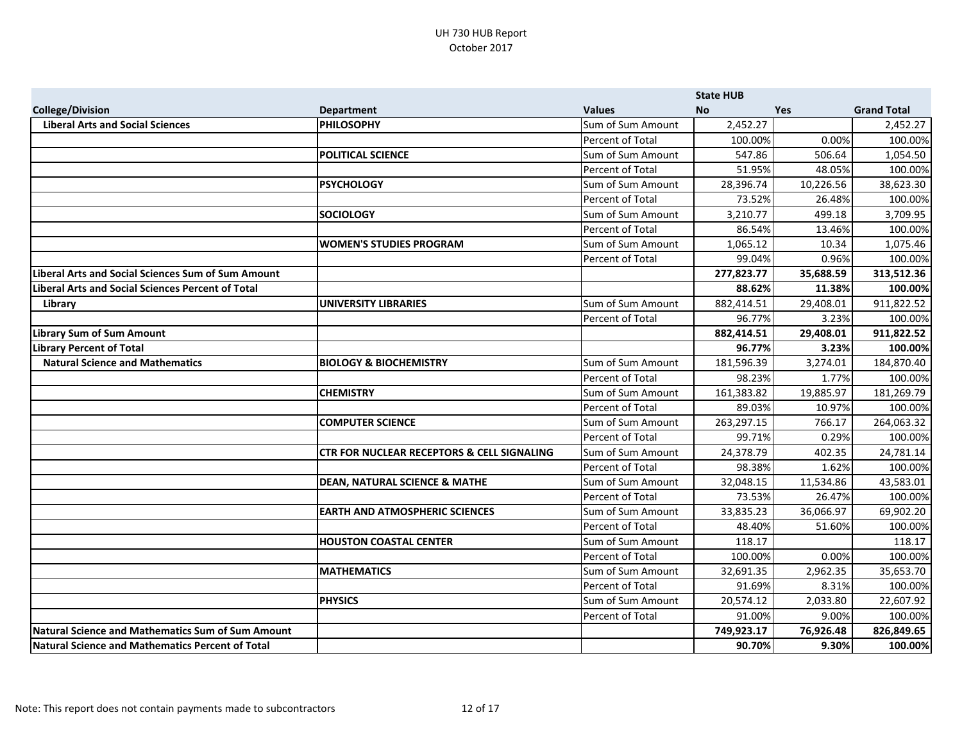|                                                          |                                                       |                         | <b>State HUB</b> |           |                    |
|----------------------------------------------------------|-------------------------------------------------------|-------------------------|------------------|-----------|--------------------|
| <b>College/Division</b>                                  | <b>Department</b>                                     | <b>Values</b>           | <b>No</b>        | Yes       | <b>Grand Total</b> |
| <b>Liberal Arts and Social Sciences</b>                  | <b>PHILOSOPHY</b>                                     | Sum of Sum Amount       | 2,452.27         |           | 2,452.27           |
|                                                          |                                                       | Percent of Total        | 100.00%          | 0.00%     | 100.00%            |
|                                                          | <b>POLITICAL SCIENCE</b>                              | Sum of Sum Amount       | 547.86           | 506.64    | 1,054.50           |
|                                                          |                                                       | Percent of Total        | 51.95%           | 48.05%    | 100.00%            |
|                                                          | <b>PSYCHOLOGY</b>                                     | Sum of Sum Amount       | 28,396.74        | 10,226.56 | 38,623.30          |
|                                                          |                                                       | <b>Percent of Total</b> | 73.52%           | 26.48%    | 100.00%            |
|                                                          | <b>SOCIOLOGY</b>                                      | Sum of Sum Amount       | 3,210.77         | 499.18    | 3,709.95           |
|                                                          |                                                       | Percent of Total        | 86.54%           | 13.46%    | 100.00%            |
|                                                          | <b>WOMEN'S STUDIES PROGRAM</b>                        | Sum of Sum Amount       | 1,065.12         | 10.34     | 1,075.46           |
|                                                          |                                                       | Percent of Total        | 99.04%           | 0.96%     | 100.00%            |
| Liberal Arts and Social Sciences Sum of Sum Amount       |                                                       |                         | 277,823.77       | 35,688.59 | 313,512.36         |
| <b>Liberal Arts and Social Sciences Percent of Total</b> |                                                       |                         | 88.62%           | 11.38%    | 100.00%            |
| Library                                                  | <b>UNIVERSITY LIBRARIES</b>                           | Sum of Sum Amount       | 882,414.51       | 29,408.01 | 911,822.52         |
|                                                          |                                                       | Percent of Total        | 96.77%           | 3.23%     | 100.00%            |
| <b>Library Sum of Sum Amount</b>                         |                                                       |                         | 882,414.51       | 29,408.01 | 911,822.52         |
| <b>Library Percent of Total</b>                          |                                                       |                         | 96.77%           | 3.23%     | 100.00%            |
| <b>Natural Science and Mathematics</b>                   | <b>BIOLOGY &amp; BIOCHEMISTRY</b>                     | Sum of Sum Amount       | 181,596.39       | 3,274.01  | 184,870.40         |
|                                                          |                                                       | Percent of Total        | 98.23%           | 1.77%     | 100.00%            |
|                                                          | <b>CHEMISTRY</b>                                      | Sum of Sum Amount       | 161,383.82       | 19,885.97 | 181,269.79         |
|                                                          |                                                       | Percent of Total        | 89.03%           | 10.97%    | 100.00%            |
|                                                          | <b>COMPUTER SCIENCE</b>                               | Sum of Sum Amount       | 263,297.15       | 766.17    | 264,063.32         |
|                                                          |                                                       | Percent of Total        | 99.71%           | 0.29%     | 100.00%            |
|                                                          | <b>CTR FOR NUCLEAR RECEPTORS &amp; CELL SIGNALING</b> | Sum of Sum Amount       | 24,378.79        | 402.35    | 24,781.14          |
|                                                          |                                                       | Percent of Total        | 98.38%           | 1.62%     | 100.00%            |
|                                                          | <b>DEAN, NATURAL SCIENCE &amp; MATHE</b>              | Sum of Sum Amount       | 32,048.15        | 11,534.86 | 43,583.01          |
|                                                          |                                                       | <b>Percent of Total</b> | 73.53%           | 26.47%    | 100.00%            |
|                                                          | <b>EARTH AND ATMOSPHERIC SCIENCES</b>                 | Sum of Sum Amount       | 33,835.23        | 36,066.97 | 69,902.20          |
|                                                          |                                                       | Percent of Total        | 48.40%           | 51.60%    | 100.00%            |
|                                                          | <b>HOUSTON COASTAL CENTER</b>                         | Sum of Sum Amount       | 118.17           |           | 118.17             |
|                                                          |                                                       | Percent of Total        | 100.00%          | 0.00%     | 100.00%            |
|                                                          | <b>MATHEMATICS</b>                                    | Sum of Sum Amount       | 32,691.35        | 2,962.35  | 35,653.70          |
|                                                          |                                                       | Percent of Total        | 91.69%           | 8.31%     | 100.00%            |
|                                                          | <b>PHYSICS</b>                                        | Sum of Sum Amount       | 20,574.12        | 2,033.80  | 22,607.92          |
|                                                          |                                                       | Percent of Total        | 91.00%           | 9.00%     | 100.00%            |
| Natural Science and Mathematics Sum of Sum Amount        |                                                       |                         | 749,923.17       | 76,926.48 | 826,849.65         |
| Natural Science and Mathematics Percent of Total         |                                                       |                         | 90.70%           | 9.30%     | 100.00%            |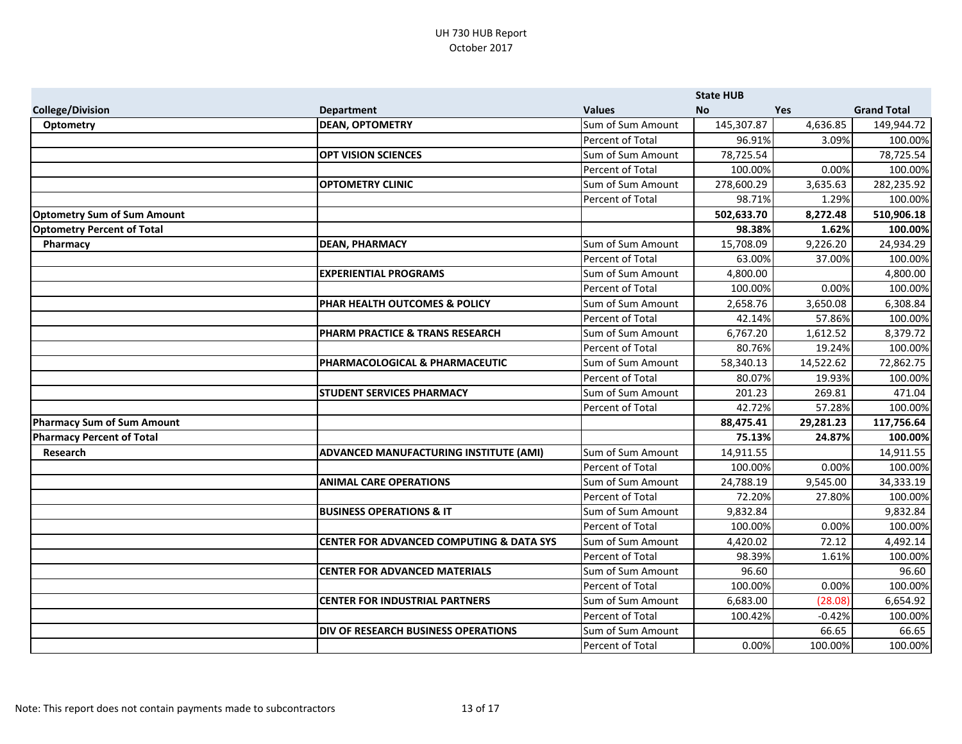|                                    |                                                     |                         | <b>State HUB</b> |           |                    |
|------------------------------------|-----------------------------------------------------|-------------------------|------------------|-----------|--------------------|
| <b>College/Division</b>            | <b>Department</b>                                   | <b>Values</b>           | <b>No</b>        | Yes       | <b>Grand Total</b> |
| <b>Optometry</b>                   | <b>DEAN, OPTOMETRY</b>                              | Sum of Sum Amount       | 145,307.87       | 4,636.85  | 149,944.72         |
|                                    |                                                     | Percent of Total        | 96.91%           | 3.09%     | 100.00%            |
|                                    | <b>OPT VISION SCIENCES</b>                          | Sum of Sum Amount       | 78,725.54        |           | 78,725.54          |
|                                    |                                                     | Percent of Total        | 100.00%          | 0.00%     | 100.00%            |
|                                    | <b>OPTOMETRY CLINIC</b>                             | Sum of Sum Amount       | 278,600.29       | 3,635.63  | 282,235.92         |
|                                    |                                                     | Percent of Total        | 98.71%           | 1.29%     | 100.00%            |
| <b>Optometry Sum of Sum Amount</b> |                                                     |                         | 502,633.70       | 8,272.48  | 510,906.18         |
| <b>Optometry Percent of Total</b>  |                                                     |                         | 98.38%           | 1.62%     | 100.00%            |
| Pharmacy                           | <b>DEAN, PHARMACY</b>                               | Sum of Sum Amount       | 15,708.09        | 9,226.20  | 24,934.29          |
|                                    |                                                     | Percent of Total        | 63.00%           | 37.00%    | 100.00%            |
|                                    | <b>EXPERIENTIAL PROGRAMS</b>                        | Sum of Sum Amount       | 4,800.00         |           | 4,800.00           |
|                                    |                                                     | Percent of Total        | 100.00%          | 0.00%     | 100.00%            |
|                                    | PHAR HEALTH OUTCOMES & POLICY                       | Sum of Sum Amount       | 2,658.76         | 3,650.08  | 6,308.84           |
|                                    |                                                     | Percent of Total        | 42.14%           | 57.86%    | 100.00%            |
|                                    | PHARM PRACTICE & TRANS RESEARCH                     | Sum of Sum Amount       | 6,767.20         | 1,612.52  | 8,379.72           |
|                                    |                                                     | Percent of Total        | 80.76%           | 19.24%    | 100.00%            |
|                                    | PHARMACOLOGICAL & PHARMACEUTIC                      | Sum of Sum Amount       | 58,340.13        | 14,522.62 | 72,862.75          |
|                                    |                                                     | <b>Percent of Total</b> | 80.07%           | 19.93%    | 100.00%            |
|                                    | <b>STUDENT SERVICES PHARMACY</b>                    | Sum of Sum Amount       | 201.23           | 269.81    | 471.04             |
|                                    |                                                     | Percent of Total        | 42.72%           | 57.28%    | 100.00%            |
| Pharmacy Sum of Sum Amount         |                                                     |                         | 88,475.41        | 29,281.23 | 117,756.64         |
| <b>Pharmacy Percent of Total</b>   |                                                     |                         | 75.13%           | 24.87%    | 100.00%            |
| Research                           | ADVANCED MANUFACTURING INSTITUTE (AMI)              | Sum of Sum Amount       | 14,911.55        |           | 14,911.55          |
|                                    |                                                     | Percent of Total        | 100.00%          | 0.00%     | 100.00%            |
|                                    | <b>ANIMAL CARE OPERATIONS</b>                       | Sum of Sum Amount       | 24,788.19        | 9,545.00  | 34,333.19          |
|                                    |                                                     | Percent of Total        | 72.20%           | 27.80%    | 100.00%            |
|                                    | <b>BUSINESS OPERATIONS &amp; IT</b>                 | Sum of Sum Amount       | 9,832.84         |           | 9,832.84           |
|                                    |                                                     | Percent of Total        | 100.00%          | 0.00%     | 100.00%            |
|                                    | <b>CENTER FOR ADVANCED COMPUTING &amp; DATA SYS</b> | Sum of Sum Amount       | 4,420.02         | 72.12     | 4,492.14           |
|                                    |                                                     | Percent of Total        | 98.39%           | 1.61%     | 100.00%            |
|                                    | <b>CENTER FOR ADVANCED MATERIALS</b>                | Sum of Sum Amount       | 96.60            |           | 96.60              |
|                                    |                                                     | <b>Percent of Total</b> | 100.00%          | 0.00%     | 100.00%            |
|                                    | <b>CENTER FOR INDUSTRIAL PARTNERS</b>               | Sum of Sum Amount       | 6,683.00         | (28.08)   | 6,654.92           |
|                                    |                                                     | Percent of Total        | 100.42%          | $-0.42%$  | 100.00%            |
|                                    | DIV OF RESEARCH BUSINESS OPERATIONS                 | Sum of Sum Amount       |                  | 66.65     | 66.65              |
|                                    |                                                     | Percent of Total        | 0.00%            | 100.00%   | 100.00%            |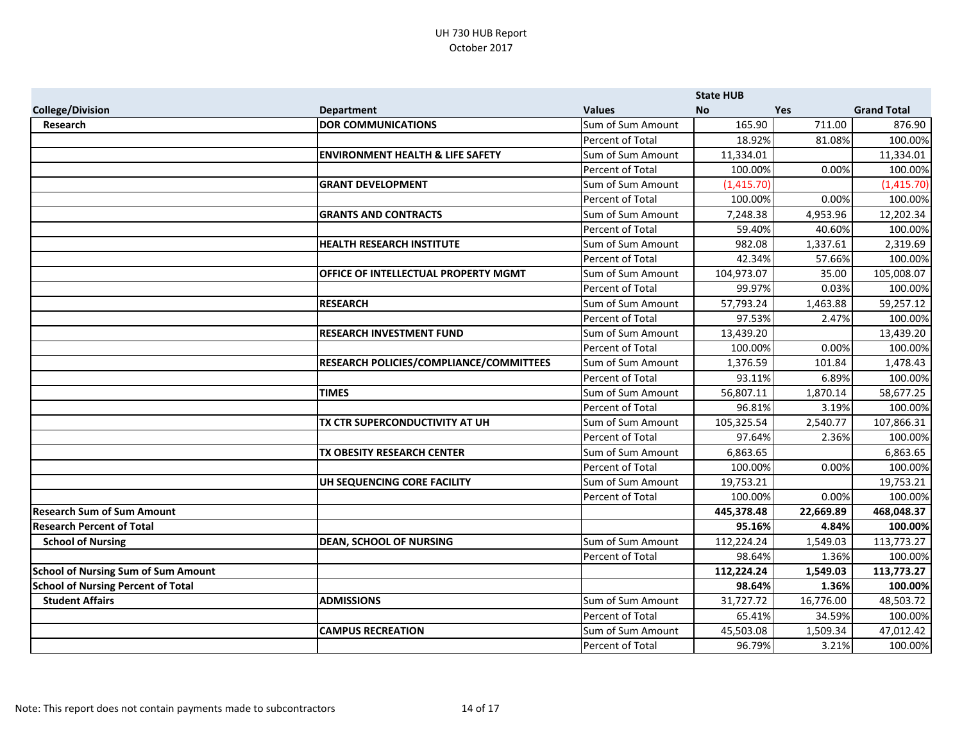|                                            |                                             |                   | <b>State HUB</b> |           |                    |
|--------------------------------------------|---------------------------------------------|-------------------|------------------|-----------|--------------------|
| <b>College/Division</b>                    | <b>Department</b>                           | <b>Values</b>     | <b>No</b>        | Yes       | <b>Grand Total</b> |
| Research                                   | <b>DOR COMMUNICATIONS</b>                   | Sum of Sum Amount | 165.90           | 711.00    | 876.90             |
|                                            |                                             | Percent of Total  | 18.92%           | 81.08%    | 100.00%            |
|                                            | <b>ENVIRONMENT HEALTH &amp; LIFE SAFETY</b> | Sum of Sum Amount | 11,334.01        |           | 11,334.01          |
|                                            |                                             | Percent of Total  | 100.00%          | 0.00%     | 100.00%            |
|                                            | <b>GRANT DEVELOPMENT</b>                    | Sum of Sum Amount | (1,415.70)       |           | (1, 415.70)        |
|                                            |                                             | Percent of Total  | 100.00%          | 0.00%     | 100.00%            |
|                                            | <b>GRANTS AND CONTRACTS</b>                 | Sum of Sum Amount | 7,248.38         | 4,953.96  | 12,202.34          |
|                                            |                                             | Percent of Total  | 59.40%           | 40.60%    | 100.00%            |
|                                            | <b>HEALTH RESEARCH INSTITUTE</b>            | Sum of Sum Amount | 982.08           | 1,337.61  | 2,319.69           |
|                                            |                                             | Percent of Total  | 42.34%           | 57.66%    | 100.00%            |
|                                            | OFFICE OF INTELLECTUAL PROPERTY MGMT        | Sum of Sum Amount | 104,973.07       | 35.00     | 105,008.07         |
|                                            |                                             | Percent of Total  | 99.97%           | 0.03%     | 100.00%            |
|                                            | <b>RESEARCH</b>                             | Sum of Sum Amount | 57,793.24        | 1,463.88  | 59,257.12          |
|                                            |                                             | Percent of Total  | 97.53%           | 2.47%     | 100.00%            |
|                                            | <b>RESEARCH INVESTMENT FUND</b>             | Sum of Sum Amount | 13,439.20        |           | 13,439.20          |
|                                            |                                             | Percent of Total  | 100.00%          | 0.00%     | 100.00%            |
|                                            | RESEARCH POLICIES/COMPLIANCE/COMMITTEES     | Sum of Sum Amount | 1,376.59         | 101.84    | 1,478.43           |
|                                            |                                             | Percent of Total  | 93.11%           | 6.89%     | 100.00%            |
|                                            | <b>TIMES</b>                                | Sum of Sum Amount | 56,807.11        | 1,870.14  | 58,677.25          |
|                                            |                                             | Percent of Total  | 96.81%           | 3.19%     | 100.00%            |
|                                            | TX CTR SUPERCONDUCTIVITY AT UH              | Sum of Sum Amount | 105,325.54       | 2,540.77  | 107,866.31         |
|                                            |                                             | Percent of Total  | 97.64%           | 2.36%     | 100.00%            |
|                                            | TX OBESITY RESEARCH CENTER                  | Sum of Sum Amount | 6,863.65         |           | 6,863.65           |
|                                            |                                             | Percent of Total  | 100.00%          | 0.00%     | 100.00%            |
|                                            | UH SEQUENCING CORE FACILITY                 | Sum of Sum Amount | 19,753.21        |           | 19,753.21          |
|                                            |                                             | Percent of Total  | 100.00%          | 0.00%     | 100.00%            |
| <b>Research Sum of Sum Amount</b>          |                                             |                   | 445,378.48       | 22,669.89 | 468,048.37         |
| <b>Research Percent of Total</b>           |                                             |                   | 95.16%           | 4.84%     | 100.00%            |
| <b>School of Nursing</b>                   | <b>DEAN, SCHOOL OF NURSING</b>              | Sum of Sum Amount | 112,224.24       | 1,549.03  | 113,773.27         |
|                                            |                                             | Percent of Total  | 98.64%           | 1.36%     | 100.00%            |
| <b>School of Nursing Sum of Sum Amount</b> |                                             |                   | 112,224.24       | 1,549.03  | 113,773.27         |
| <b>School of Nursing Percent of Total</b>  |                                             |                   | 98.64%           | 1.36%     | 100.00%            |
| <b>Student Affairs</b>                     | <b>ADMISSIONS</b>                           | Sum of Sum Amount | 31,727.72        | 16,776.00 | 48,503.72          |
|                                            |                                             | Percent of Total  | 65.41%           | 34.59%    | 100.00%            |
|                                            | <b>CAMPUS RECREATION</b>                    | Sum of Sum Amount | 45,503.08        | 1,509.34  | 47,012.42          |
|                                            |                                             | Percent of Total  | 96.79%           | 3.21%     | 100.00%            |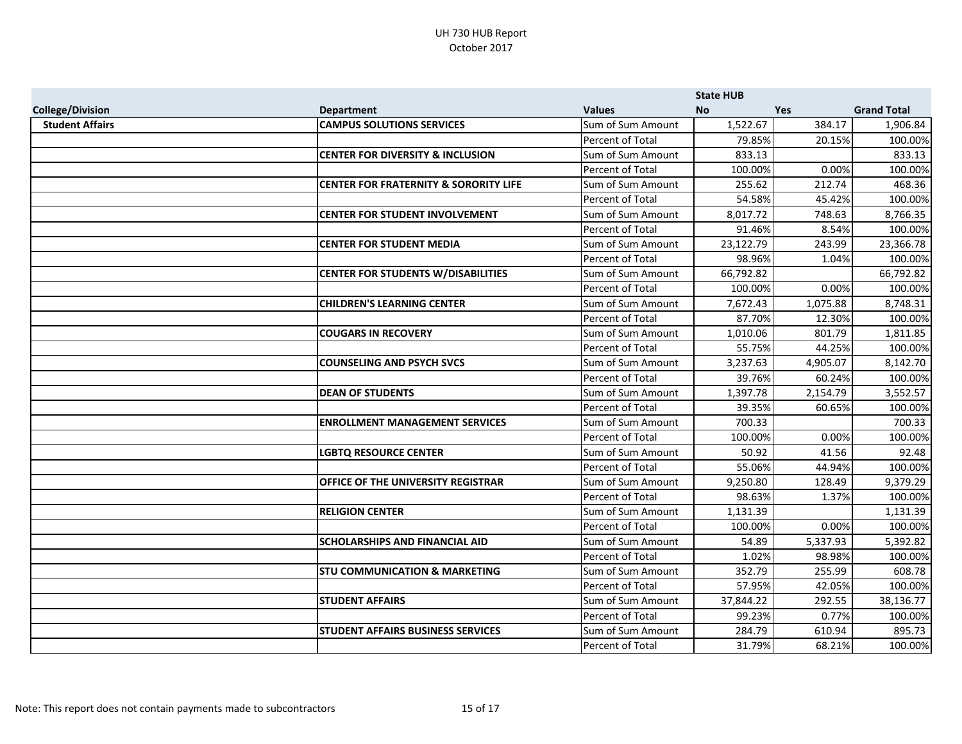|                         |                                                  |                         | <b>State HUB</b> |            |                    |
|-------------------------|--------------------------------------------------|-------------------------|------------------|------------|--------------------|
| <b>College/Division</b> | <b>Department</b>                                | <b>Values</b>           | <b>No</b>        | <b>Yes</b> | <b>Grand Total</b> |
| <b>Student Affairs</b>  | <b>CAMPUS SOLUTIONS SERVICES</b>                 | Sum of Sum Amount       | 1,522.67         | 384.17     | 1,906.84           |
|                         |                                                  | Percent of Total        | 79.85%           | 20.15%     | 100.00%            |
|                         | <b>CENTER FOR DIVERSITY &amp; INCLUSION</b>      | Sum of Sum Amount       | 833.13           |            | 833.13             |
|                         |                                                  | Percent of Total        | 100.00%          | 0.00%      | 100.00%            |
|                         | <b>CENTER FOR FRATERNITY &amp; SORORITY LIFE</b> | Sum of Sum Amount       | 255.62           | 212.74     | 468.36             |
|                         |                                                  | Percent of Total        | 54.58%           | 45.42%     | 100.00%            |
|                         | <b>CENTER FOR STUDENT INVOLVEMENT</b>            | Sum of Sum Amount       | 8,017.72         | 748.63     | 8,766.35           |
|                         |                                                  | Percent of Total        | 91.46%           | 8.54%      | 100.00%            |
|                         | <b>CENTER FOR STUDENT MEDIA</b>                  | Sum of Sum Amount       | 23,122.79        | 243.99     | 23,366.78          |
|                         |                                                  | Percent of Total        | 98.96%           | 1.04%      | 100.00%            |
|                         | <b>CENTER FOR STUDENTS W/DISABILITIES</b>        | Sum of Sum Amount       | 66,792.82        |            | 66,792.82          |
|                         |                                                  | Percent of Total        | 100.00%          | 0.00%      | 100.00%            |
|                         | <b>CHILDREN'S LEARNING CENTER</b>                | Sum of Sum Amount       | 7,672.43         | 1,075.88   | 8,748.31           |
|                         |                                                  | Percent of Total        | 87.70%           | 12.30%     | 100.00%            |
|                         | <b>COUGARS IN RECOVERY</b>                       | Sum of Sum Amount       | 1,010.06         | 801.79     | 1,811.85           |
|                         |                                                  | Percent of Total        | 55.75%           | 44.25%     | 100.00%            |
|                         | <b>COUNSELING AND PSYCH SVCS</b>                 | Sum of Sum Amount       | 3,237.63         | 4,905.07   | 8,142.70           |
|                         |                                                  | Percent of Total        | 39.76%           | 60.24%     | 100.00%            |
|                         | <b>DEAN OF STUDENTS</b>                          | Sum of Sum Amount       | 1,397.78         | 2,154.79   | 3,552.57           |
|                         |                                                  | Percent of Total        | 39.35%           | 60.65%     | 100.00%            |
|                         | <b>ENROLLMENT MANAGEMENT SERVICES</b>            | Sum of Sum Amount       | 700.33           |            | 700.33             |
|                         |                                                  | Percent of Total        | 100.00%          | 0.00%      | 100.00%            |
|                         | <b>LGBTQ RESOURCE CENTER</b>                     | Sum of Sum Amount       | 50.92            | 41.56      | 92.48              |
|                         |                                                  | Percent of Total        | 55.06%           | 44.94%     | 100.00%            |
|                         | <b>OFFICE OF THE UNIVERSITY REGISTRAR</b>        | Sum of Sum Amount       | 9,250.80         | 128.49     | 9,379.29           |
|                         |                                                  | <b>Percent of Total</b> | 98.63%           | 1.37%      | 100.00%            |
|                         | <b>RELIGION CENTER</b>                           | Sum of Sum Amount       | 1,131.39         |            | 1,131.39           |
|                         |                                                  | Percent of Total        | 100.00%          | 0.00%      | 100.00%            |
|                         | <b>SCHOLARSHIPS AND FINANCIAL AID</b>            | Sum of Sum Amount       | 54.89            | 5,337.93   | 5,392.82           |
|                         |                                                  | Percent of Total        | 1.02%            | 98.98%     | 100.00%            |
|                         | <b>STU COMMUNICATION &amp; MARKETING</b>         | Sum of Sum Amount       | 352.79           | 255.99     | 608.78             |
|                         |                                                  | Percent of Total        | 57.95%           | 42.05%     | 100.00%            |
|                         | <b>STUDENT AFFAIRS</b>                           | Sum of Sum Amount       | 37,844.22        | 292.55     | 38,136.77          |
|                         |                                                  | Percent of Total        | 99.23%           | 0.77%      | 100.00%            |
|                         | <b>STUDENT AFFAIRS BUSINESS SERVICES</b>         | Sum of Sum Amount       | 284.79           | 610.94     | 895.73             |
|                         |                                                  | Percent of Total        | 31.79%           | 68.21%     | 100.00%            |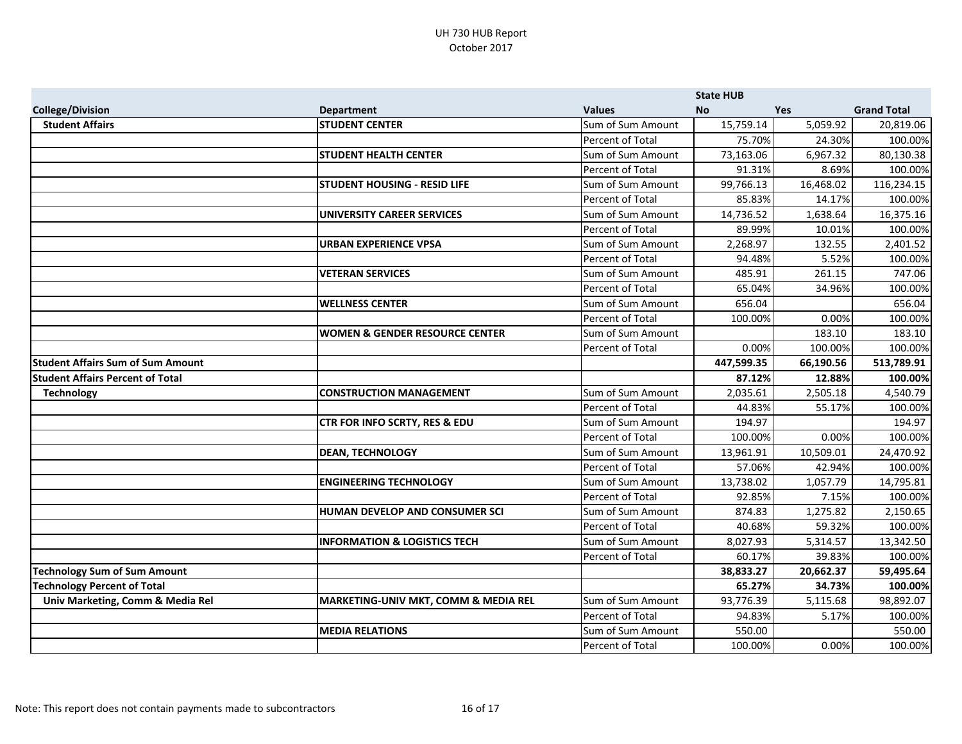|                                          |                                           |                         | <b>State HUB</b> |            |                    |
|------------------------------------------|-------------------------------------------|-------------------------|------------------|------------|--------------------|
| <b>College/Division</b>                  | <b>Department</b>                         | <b>Values</b>           | <b>No</b>        | <b>Yes</b> | <b>Grand Total</b> |
| <b>Student Affairs</b>                   | <b>STUDENT CENTER</b>                     | Sum of Sum Amount       | 15,759.14        | 5,059.92   | 20,819.06          |
|                                          |                                           | Percent of Total        | 75.70%           | 24.30%     | 100.00%            |
|                                          | <b>STUDENT HEALTH CENTER</b>              | Sum of Sum Amount       | 73,163.06        | 6,967.32   | 80,130.38          |
|                                          |                                           | Percent of Total        | 91.31%           | 8.69%      | 100.00%            |
|                                          | <b>STUDENT HOUSING - RESID LIFE</b>       | Sum of Sum Amount       | 99,766.13        | 16,468.02  | 116,234.15         |
|                                          |                                           | Percent of Total        | 85.83%           | 14.17%     | 100.00%            |
|                                          | <b>UNIVERSITY CAREER SERVICES</b>         | Sum of Sum Amount       | 14,736.52        | 1,638.64   | 16,375.16          |
|                                          |                                           | Percent of Total        | 89.99%           | 10.01%     | 100.00%            |
|                                          | <b>URBAN EXPERIENCE VPSA</b>              | Sum of Sum Amount       | 2,268.97         | 132.55     | 2,401.52           |
|                                          |                                           | Percent of Total        | 94.48%           | 5.52%      | 100.00%            |
|                                          | <b>VETERAN SERVICES</b>                   | Sum of Sum Amount       | 485.91           | 261.15     | 747.06             |
|                                          |                                           | Percent of Total        | 65.04%           | 34.96%     | 100.00%            |
|                                          | <b>WELLNESS CENTER</b>                    | Sum of Sum Amount       | 656.04           |            | 656.04             |
|                                          |                                           | Percent of Total        | 100.00%          | 0.00%      | 100.00%            |
|                                          | <b>WOMEN &amp; GENDER RESOURCE CENTER</b> | Sum of Sum Amount       |                  | 183.10     | 183.10             |
|                                          |                                           | Percent of Total        | 0.00%            | 100.00%    | 100.00%            |
| <b>Student Affairs Sum of Sum Amount</b> |                                           |                         | 447,599.35       | 66,190.56  | 513,789.91         |
| <b>Student Affairs Percent of Total</b>  |                                           |                         | 87.12%           | 12.88%     | 100.00%            |
| <b>Technology</b>                        | <b>CONSTRUCTION MANAGEMENT</b>            | Sum of Sum Amount       | 2,035.61         | 2,505.18   | 4,540.79           |
|                                          |                                           | Percent of Total        | 44.83%           | 55.17%     | 100.00%            |
|                                          | CTR FOR INFO SCRTY, RES & EDU             | Sum of Sum Amount       | 194.97           |            | 194.97             |
|                                          |                                           | Percent of Total        | 100.00%          | 0.00%      | 100.00%            |
|                                          | <b>DEAN, TECHNOLOGY</b>                   | Sum of Sum Amount       | 13,961.91        | 10,509.01  | 24,470.92          |
|                                          |                                           | Percent of Total        | 57.06%           | 42.94%     | 100.00%            |
|                                          | <b>ENGINEERING TECHNOLOGY</b>             | Sum of Sum Amount       | 13,738.02        | 1,057.79   | 14,795.81          |
|                                          |                                           | <b>Percent of Total</b> | 92.85%           | 7.15%      | 100.00%            |
|                                          | HUMAN DEVELOP AND CONSUMER SCI            | Sum of Sum Amount       | 874.83           | 1,275.82   | 2,150.65           |
|                                          |                                           | Percent of Total        | 40.68%           | 59.32%     | 100.00%            |
|                                          | <b>INFORMATION &amp; LOGISTICS TECH</b>   | Sum of Sum Amount       | 8,027.93         | 5,314.57   | 13,342.50          |
|                                          |                                           | Percent of Total        | 60.17%           | 39.83%     | 100.00%            |
| <b>Technology Sum of Sum Amount</b>      |                                           |                         | 38,833.27        | 20,662.37  | 59,495.64          |
| <b>Technology Percent of Total</b>       |                                           |                         | 65.27%           | 34.73%     | 100.00%            |
| Univ Marketing, Comm & Media Rel         | MARKETING-UNIV MKT, COMM & MEDIA REL      | Sum of Sum Amount       | 93,776.39        | 5,115.68   | 98,892.07          |
|                                          |                                           | Percent of Total        | 94.83%           | 5.17%      | 100.00%            |
|                                          | <b>MEDIA RELATIONS</b>                    | Sum of Sum Amount       | 550.00           |            | 550.00             |
|                                          |                                           | Percent of Total        | 100.00%          | 0.00%      | 100.00%            |